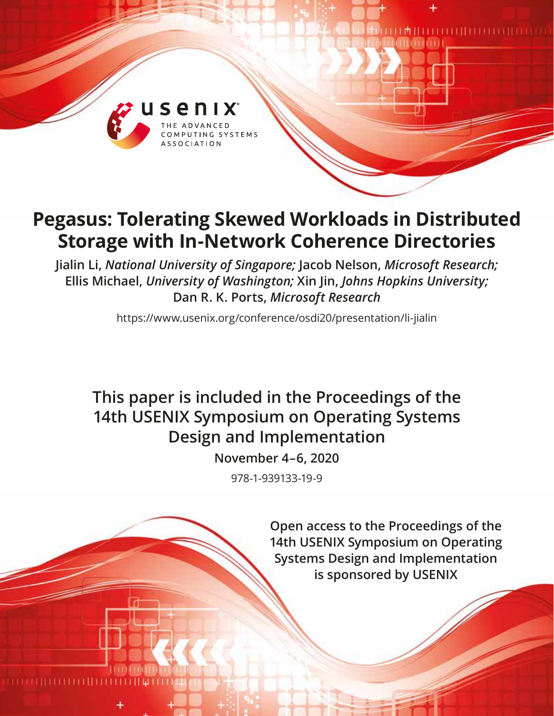

# **Pegasus: Tolerating Skewed Workloads in Distributed Storage with In-Network Coherence Directories**

**Jialin Li,** *National University of Singapore;* **Jacob Nelson,** *Microsoft Research;* **Ellis Michael,** *University of Washington;* **Xin Jin,** *Johns Hopkins University;* **Dan R. K. Ports,** *Microsoft Research*

https://www.usenix.org/conference/osdi20/presentation/li-jialin

## **This paper is included in the Proceedings of the 14th USENIX Symposium on Operating Systems Design and Implementation**

**November 4–6, 2020**

978-1-939133-19-9

**Open access to the Proceedings of the 14th USENIX Symposium on Operating Systems Design and Implementation is sponsored by USENIX**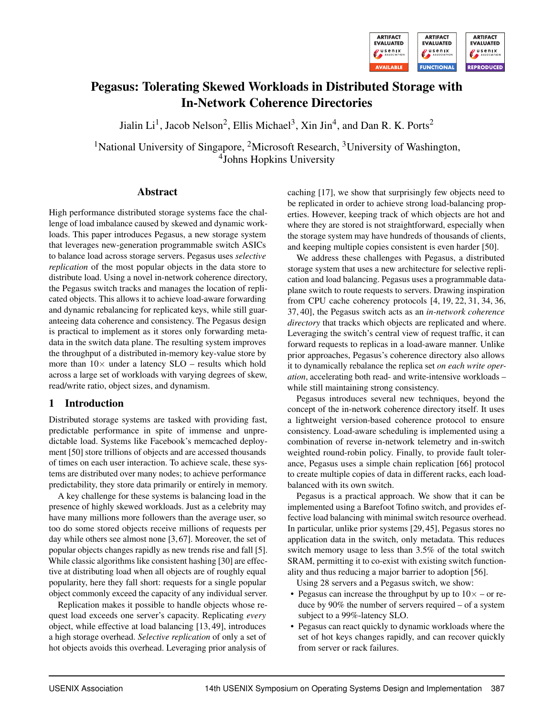

## Pegasus: Tolerating Skewed Workloads in Distributed Storage with In-Network Coherence Directories

Jialin Li<sup>1</sup>, Jacob Nelson<sup>2</sup>, Ellis Michael<sup>3</sup>, Xin Jin<sup>4</sup>, and Dan R. K. Ports<sup>2</sup>

<sup>1</sup>National University of Singapore, <sup>2</sup>Microsoft Research, <sup>3</sup>University of Washington, 4 Johns Hopkins University

## Abstract

High performance distributed storage systems face the challenge of load imbalance caused by skewed and dynamic workloads. This paper introduces Pegasus, a new storage system that leverages new-generation programmable switch ASICs to balance load across storage servers. Pegasus uses *selective replication* of the most popular objects in the data store to distribute load. Using a novel in-network coherence directory, the Pegasus switch tracks and manages the location of replicated objects. This allows it to achieve load-aware forwarding and dynamic rebalancing for replicated keys, while still guaranteeing data coherence and consistency. The Pegasus design is practical to implement as it stores only forwarding metadata in the switch data plane. The resulting system improves the throughput of a distributed in-memory key-value store by more than  $10\times$  under a latency SLO – results which hold across a large set of workloads with varying degrees of skew, read/write ratio, object sizes, and dynamism.

## 1 Introduction

Distributed storage systems are tasked with providing fast, predictable performance in spite of immense and unpredictable load. Systems like Facebook's memcached deployment [\[50\]](#page-17-0) store trillions of objects and are accessed thousands of times on each user interaction. To achieve scale, these systems are distributed over many nodes; to achieve performance predictability, they store data primarily or entirely in memory.

A key challenge for these systems is balancing load in the presence of highly skewed workloads. Just as a celebrity may have many millions more followers than the average user, so too do some stored objects receive millions of requests per day while others see almost none [\[3,](#page-15-0) [67\]](#page-18-0). Moreover, the set of popular objects changes rapidly as new trends rise and fall [\[5\]](#page-15-1). While classic algorithms like consistent hashing [\[30\]](#page-16-0) are effective at distributing load when all objects are of roughly equal popularity, here they fall short: requests for a single popular object commonly exceed the capacity of any individual server.

Replication makes it possible to handle objects whose request load exceeds one server's capacity. Replicating *every* object, while effective at load balancing [\[13,](#page-15-2) [49\]](#page-17-1), introduces a high storage overhead. *Selective replication* of only a set of hot objects avoids this overhead. Leveraging prior analysis of caching [\[17\]](#page-15-3), we show that surprisingly few objects need to be replicated in order to achieve strong load-balancing properties. However, keeping track of which objects are hot and where they are stored is not straightforward, especially when the storage system may have hundreds of thousands of clients, and keeping multiple copies consistent is even harder [\[50\]](#page-17-0).

We address these challenges with Pegasus, a distributed storage system that uses a new architecture for selective replication and load balancing. Pegasus uses a programmable dataplane switch to route requests to servers. Drawing inspiration from CPU cache coherency protocols [\[4,](#page-15-4) [19,](#page-15-5) [22,](#page-16-1) [31,](#page-16-2) [34,](#page-16-3) [36,](#page-16-4) [37,](#page-16-5) [40\]](#page-16-6), the Pegasus switch acts as an *in-network coherence directory* that tracks which objects are replicated and where. Leveraging the switch's central view of request traffic, it can forward requests to replicas in a load-aware manner. Unlike prior approaches, Pegasus's coherence directory also allows it to dynamically rebalance the replica set *on each write operation*, accelerating both read- and write-intensive workloads – while still maintaining strong consistency.

Pegasus introduces several new techniques, beyond the concept of the in-network coherence directory itself. It uses a lightweight version-based coherence protocol to ensure consistency. Load-aware scheduling is implemented using a combination of reverse in-network telemetry and in-switch weighted round-robin policy. Finally, to provide fault tolerance, Pegasus uses a simple chain replication [\[66\]](#page-18-1) protocol to create multiple copies of data in different racks, each loadbalanced with its own switch.

Pegasus is a practical approach. We show that it can be implemented using a Barefoot Tofino switch, and provides effective load balancing with minimal switch resource overhead. In particular, unlike prior systems [\[29,](#page-16-7) [45\]](#page-17-2), Pegasus stores no application data in the switch, only metadata. This reduces switch memory usage to less than 3.5% of the total switch SRAM, permitting it to co-exist with existing switch functionality and thus reducing a major barrier to adoption [\[56\]](#page-17-3).

Using 28 servers and a Pegasus switch, we show:

- Pegasus can increase the throughput by up to  $10\times$  or reduce by 90% the number of servers required – of a system subject to a 99%-latency SLO.
- Pegasus can react quickly to dynamic workloads where the set of hot keys changes rapidly, and can recover quickly from server or rack failures.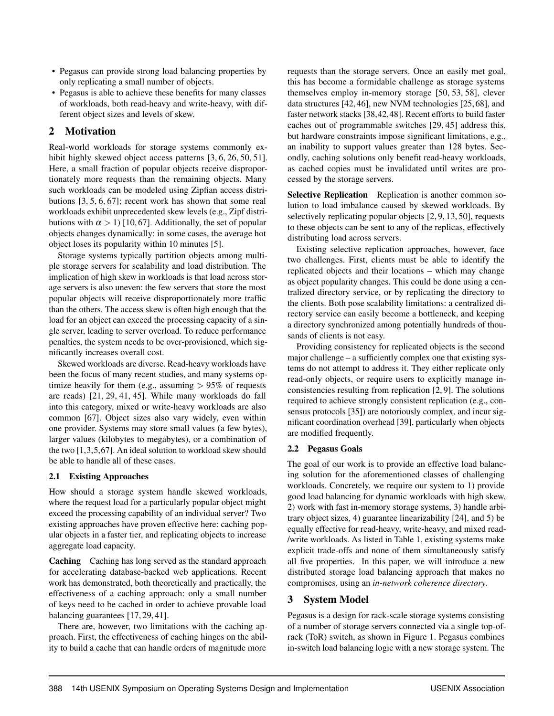- Pegasus can provide strong load balancing properties by only replicating a small number of objects.
- Pegasus is able to achieve these benefits for many classes of workloads, both read-heavy and write-heavy, with different object sizes and levels of skew.

## <span id="page-2-0"></span>2 Motivation

Real-world workloads for storage systems commonly ex-hibit highly skewed object access patterns [\[3,](#page-15-0) [6,](#page-15-6) [26,](#page-16-8) [50,](#page-17-0) [51\]](#page-17-4). Here, a small fraction of popular objects receive disproportionately more requests than the remaining objects. Many such workloads can be modeled using Zipfian access distributions [\[3,](#page-15-0) [5,](#page-15-1) [6,](#page-15-6) [67\]](#page-18-0); recent work has shown that some real workloads exhibit unprecedented skew levels (e.g., Zipf distributions with  $\alpha > 1$ ) [\[10,](#page-15-7)67]. Additionally, the set of popular objects changes dynamically: in some cases, the average hot object loses its popularity within 10 minutes [\[5\]](#page-15-1).

Storage systems typically partition objects among multiple storage servers for scalability and load distribution. The implication of high skew in workloads is that load across storage servers is also uneven: the few servers that store the most popular objects will receive disproportionately more traffic than the others. The access skew is often high enough that the load for an object can exceed the processing capacity of a single server, leading to server overload. To reduce performance penalties, the system needs to be over-provisioned, which significantly increases overall cost.

Skewed workloads are diverse. Read-heavy workloads have been the focus of many recent studies, and many systems optimize heavily for them (e.g., assuming  $> 95\%$  of requests are reads) [\[21,](#page-16-9) [29,](#page-16-7) [41,](#page-16-10) [45\]](#page-17-2). While many workloads do fall into this category, mixed or write-heavy workloads are also common [\[67\]](#page-18-0). Object sizes also vary widely, even within one provider. Systems may store small values (a few bytes), larger values (kilobytes to megabytes), or a combination of the two [\[1,](#page-15-8)[3,](#page-15-0)[5,](#page-15-1)[67\]](#page-18-0). An ideal solution to workload skew should be able to handle all of these cases.

## 2.1 Existing Approaches

How should a storage system handle skewed workloads, where the request load for a particularly popular object might exceed the processing capability of an individual server? Two existing approaches have proven effective here: caching popular objects in a faster tier, and replicating objects to increase aggregate load capacity.

Caching Caching has long served as the standard approach for accelerating database-backed web applications. Recent work has demonstrated, both theoretically and practically, the effectiveness of a caching approach: only a small number of keys need to be cached in order to achieve provable load balancing guarantees [\[17,](#page-15-3) [29,](#page-16-7) [41\]](#page-16-10).

There are, however, two limitations with the caching approach. First, the effectiveness of caching hinges on the ability to build a cache that can handle orders of magnitude more

requests than the storage servers. Once an easily met goal, this has become a formidable challenge as storage systems themselves employ in-memory storage [\[50,](#page-17-0) [53,](#page-17-5) [58\]](#page-17-6), clever data structures [\[42,](#page-16-11) [46\]](#page-17-7), new NVM technologies [\[25,](#page-16-12) [68\]](#page-18-2), and faster network stacks [\[38,](#page-16-13)[42,](#page-16-11)[48\]](#page-17-8). Recent efforts to build faster caches out of programmable switches [\[29,](#page-16-7) [45\]](#page-17-2) address this, but hardware constraints impose significant limitations, e.g., an inability to support values greater than 128 bytes. Secondly, caching solutions only benefit read-heavy workloads, as cached copies must be invalidated until writes are processed by the storage servers.

Selective Replication Replication is another common solution to load imbalance caused by skewed workloads. By selectively replicating popular objects [\[2,](#page-15-9) [9,](#page-15-10) [13,](#page-15-2) [50\]](#page-17-0), requests to these objects can be sent to any of the replicas, effectively distributing load across servers.

Existing selective replication approaches, however, face two challenges. First, clients must be able to identify the replicated objects and their locations – which may change as object popularity changes. This could be done using a centralized directory service, or by replicating the directory to the clients. Both pose scalability limitations: a centralized directory service can easily become a bottleneck, and keeping a directory synchronized among potentially hundreds of thousands of clients is not easy.

Providing consistency for replicated objects is the second major challenge – a sufficiently complex one that existing systems do not attempt to address it. They either replicate only read-only objects, or require users to explicitly manage inconsistencies resulting from replication [\[2,](#page-15-9) [9\]](#page-15-10). The solutions required to achieve strongly consistent replication (e.g., consensus protocols [\[35\]](#page-16-14)) are notoriously complex, and incur significant coordination overhead [\[39\]](#page-16-15), particularly when objects are modified frequently.

## 2.2 Pegasus Goals

The goal of our work is to provide an effective load balancing solution for the aforementioned classes of challenging workloads. Concretely, we require our system to 1) provide good load balancing for dynamic workloads with high skew, 2) work with fast in-memory storage systems, 3) handle arbitrary object sizes, 4) guarantee linearizability [\[24\]](#page-16-16), and 5) be equally effective for read-heavy, write-heavy, and mixed read- /write workloads. As listed in [Table 1,](#page-3-0) existing systems make explicit trade-offs and none of them simultaneously satisfy all five properties. In this paper, we will introduce a new distributed storage load balancing approach that makes no compromises, using an *in-network coherence directory*.

## <span id="page-2-1"></span>3 System Model

Pegasus is a design for rack-scale storage systems consisting of a number of storage servers connected via a single top-ofrack (ToR) switch, as shown in [Figure 1.](#page-3-1) Pegasus combines in-switch load balancing logic with a new storage system. The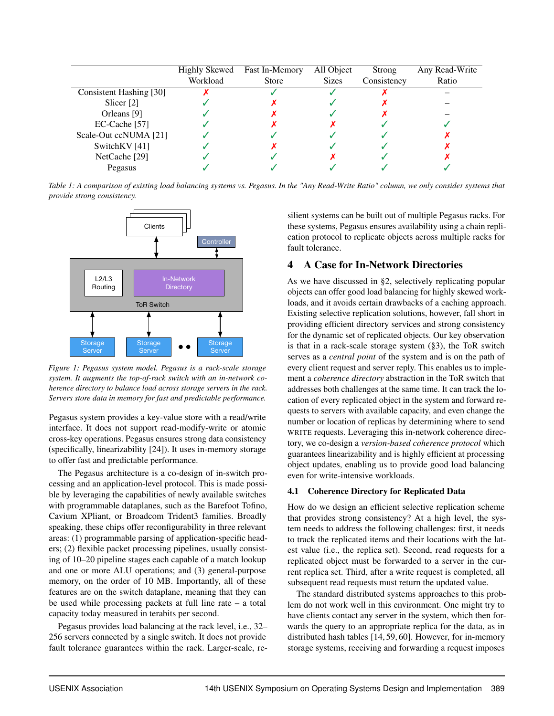<span id="page-3-0"></span>

|                         | Highly Skewed | <b>Fast In-Memory</b> | All Object   | Strong      | Any Read-Write |
|-------------------------|---------------|-----------------------|--------------|-------------|----------------|
|                         | Workload      | <b>Store</b>          | <b>Sizes</b> | Consistency | Ratio          |
| Consistent Hashing [30] |               |                       |              |             |                |
| Slicer <sup>[2]</sup>   |               |                       |              |             |                |
| Orleans [9]             |               |                       |              |             |                |
| $EC-Cache$ [57]         |               |                       |              |             |                |
| Scale-Out ccNUMA [21]   |               |                       |              |             |                |
| SwitchKV [41]           |               |                       |              |             |                |
| NetCache [29]           |               |                       |              |             |                |
| Pegasus                 |               |                       |              |             |                |

*Table 1: A comparison of existing load balancing systems vs. Pegasus. In the "Any Read-Write Ratio" column, we only consider systems that provide strong consistency.*

<span id="page-3-1"></span>

*Figure 1: Pegasus system model. Pegasus is a rack-scale storage system. It augments the top-of-rack switch with an in-network coherence directory to balance load across storage servers in the rack. Servers store data in memory for fast and predictable performance.*

Pegasus system provides a key-value store with a read/write interface. It does not support read-modify-write or atomic cross-key operations. Pegasus ensures strong data consistency (specifically, linearizability [\[24\]](#page-16-16)). It uses in-memory storage to offer fast and predictable performance.

The Pegasus architecture is a co-design of in-switch processing and an application-level protocol. This is made possible by leveraging the capabilities of newly available switches with programmable dataplanes, such as the Barefoot Tofino, Cavium XPliant, or Broadcom Trident3 families. Broadly speaking, these chips offer reconfigurability in three relevant areas: (1) programmable parsing of application-specific headers; (2) flexible packet processing pipelines, usually consisting of 10–20 pipeline stages each capable of a match lookup and one or more ALU operations; and (3) general-purpose memory, on the order of 10 MB. Importantly, all of these features are on the switch dataplane, meaning that they can be used while processing packets at full line rate – a total capacity today measured in terabits per second.

Pegasus provides load balancing at the rack level, i.e., 32– 256 servers connected by a single switch. It does not provide fault tolerance guarantees within the rack. Larger-scale, resilient systems can be built out of multiple Pegasus racks. For these systems, Pegasus ensures availability using a chain replication protocol to replicate objects across multiple racks for fault tolerance.

## 4 A Case for In-Network Directories

As we have discussed in [§2,](#page-2-0) selectively replicating popular objects can offer good load balancing for highly skewed workloads, and it avoids certain drawbacks of a caching approach. Existing selective replication solutions, however, fall short in providing efficient directory services and strong consistency for the dynamic set of replicated objects. Our key observation is that in a rack-scale storage system [\(§3\)](#page-2-1), the ToR switch serves as a *central point* of the system and is on the path of every client request and server reply. This enables us to implement a *coherence directory* abstraction in the ToR switch that addresses both challenges at the same time. It can track the location of every replicated object in the system and forward requests to servers with available capacity, and even change the number or location of replicas by determining where to send WRITE requests. Leveraging this in-network coherence directory, we co-design a *version-based coherence protocol* which guarantees linearizability and is highly efficient at processing object updates, enabling us to provide good load balancing even for write-intensive workloads.

## 4.1 Coherence Directory for Replicated Data

How do we design an efficient selective replication scheme that provides strong consistency? At a high level, the system needs to address the following challenges: first, it needs to track the replicated items and their locations with the latest value (i.e., the replica set). Second, read requests for a replicated object must be forwarded to a server in the current replica set. Third, after a write request is completed, all subsequent read requests must return the updated value.

The standard distributed systems approaches to this problem do not work well in this environment. One might try to have clients contact any server in the system, which then forwards the query to an appropriate replica for the data, as in distributed hash tables [\[14,](#page-15-11) [59,](#page-17-10) [60\]](#page-17-11). However, for in-memory storage systems, receiving and forwarding a request imposes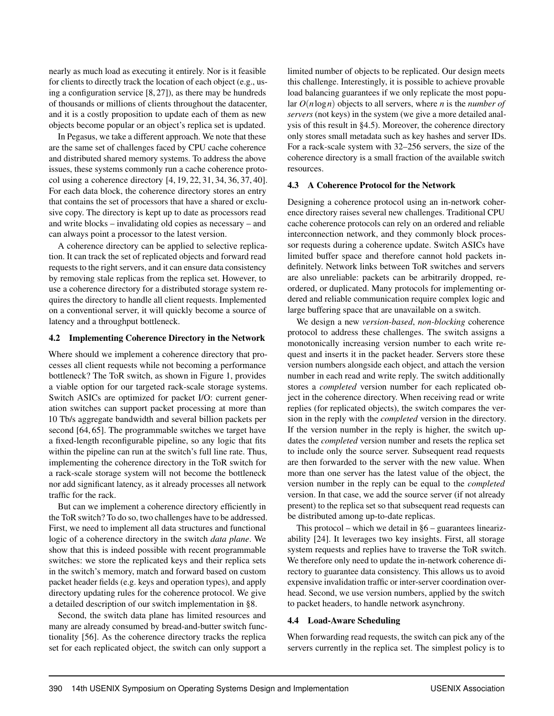nearly as much load as executing it entirely. Nor is it feasible for clients to directly track the location of each object (e.g., using a configuration service [\[8,](#page-15-12) [27\]](#page-16-17)), as there may be hundreds of thousands or millions of clients throughout the datacenter, and it is a costly proposition to update each of them as new objects become popular or an object's replica set is updated.

In Pegasus, we take a different approach. We note that these are the same set of challenges faced by CPU cache coherence and distributed shared memory systems. To address the above issues, these systems commonly run a cache coherence protocol using a coherence directory [\[4,](#page-15-4) [19,](#page-15-5) [22,](#page-16-1) [31,](#page-16-2) [34,](#page-16-3) [36,](#page-16-4) [37,](#page-16-5) [40\]](#page-16-6). For each data block, the coherence directory stores an entry that contains the set of processors that have a shared or exclusive copy. The directory is kept up to date as processors read and write blocks – invalidating old copies as necessary – and can always point a processor to the latest version.

A coherence directory can be applied to selective replication. It can track the set of replicated objects and forward read requests to the right servers, and it can ensure data consistency by removing stale replicas from the replica set. However, to use a coherence directory for a distributed storage system requires the directory to handle all client requests. Implemented on a conventional server, it will quickly become a source of latency and a throughput bottleneck.

## <span id="page-4-0"></span>4.2 Implementing Coherence Directory in the Network

Where should we implement a coherence directory that processes all client requests while not becoming a performance bottleneck? The ToR switch, as shown in [Figure 1,](#page-3-1) provides a viable option for our targeted rack-scale storage systems. Switch ASICs are optimized for packet I/O: current generation switches can support packet processing at more than 10 Tb/s aggregate bandwidth and several billion packets per second [\[64,](#page-17-12) [65\]](#page-17-13). The programmable switches we target have a fixed-length reconfigurable pipeline, so any logic that fits within the pipeline can run at the switch's full line rate. Thus, implementing the coherence directory in the ToR switch for a rack-scale storage system will not become the bottleneck nor add significant latency, as it already processes all network traffic for the rack.

But can we implement a coherence directory efficiently in the ToR switch? To do so, two challenges have to be addressed. First, we need to implement all data structures and functional logic of a coherence directory in the switch *data plane*. We show that this is indeed possible with recent programmable switches: we store the replicated keys and their replica sets in the switch's memory, match and forward based on custom packet header fields (e.g. keys and operation types), and apply directory updating rules for the coherence protocol. We give a detailed description of our switch implementation in [§8.](#page-9-0)

Second, the switch data plane has limited resources and many are already consumed by bread-and-butter switch functionality [\[56\]](#page-17-3). As the coherence directory tracks the replica set for each replicated object, the switch can only support a

limited number of objects to be replicated. Our design meets this challenge. Interestingly, it is possible to achieve provable load balancing guarantees if we only replicate the most popular *O*(*n*log*n*) objects to all servers, where *n* is the *number of servers* (not keys) in the system (we give a more detailed analysis of this result in [§4.5\)](#page-5-0). Moreover, the coherence directory only stores small metadata such as key hashes and server IDs. For a rack-scale system with 32–256 servers, the size of the coherence directory is a small fraction of the available switch resources.

## 4.3 A Coherence Protocol for the Network

Designing a coherence protocol using an in-network coherence directory raises several new challenges. Traditional CPU cache coherence protocols can rely on an ordered and reliable interconnection network, and they commonly block processor requests during a coherence update. Switch ASICs have limited buffer space and therefore cannot hold packets indefinitely. Network links between ToR switches and servers are also unreliable: packets can be arbitrarily dropped, reordered, or duplicated. Many protocols for implementing ordered and reliable communication require complex logic and large buffering space that are unavailable on a switch.

We design a new *version-based*, *non-blocking* coherence protocol to address these challenges. The switch assigns a monotonically increasing version number to each write request and inserts it in the packet header. Servers store these version numbers alongside each object, and attach the version number in each read and write reply. The switch additionally stores a *completed* version number for each replicated object in the coherence directory. When receiving read or write replies (for replicated objects), the switch compares the version in the reply with the *completed* version in the directory. If the version number in the reply is higher, the switch updates the *completed* version number and resets the replica set to include only the source server. Subsequent read requests are then forwarded to the server with the new value. When more than one server has the latest value of the object, the version number in the reply can be equal to the *completed* version. In that case, we add the source server (if not already present) to the replica set so that subsequent read requests can be distributed among up-to-date replicas.

This protocol – which we detail in  $§6$  – guarantees linearizability [\[24\]](#page-16-16). It leverages two key insights. First, all storage system requests and replies have to traverse the ToR switch. We therefore only need to update the in-network coherence directory to guarantee data consistency. This allows us to avoid expensive invalidation traffic or inter-server coordination overhead. Second, we use version numbers, applied by the switch to packet headers, to handle network asynchrony.

## <span id="page-4-1"></span>4.4 Load-Aware Scheduling

When forwarding read requests, the switch can pick any of the servers currently in the replica set. The simplest policy is to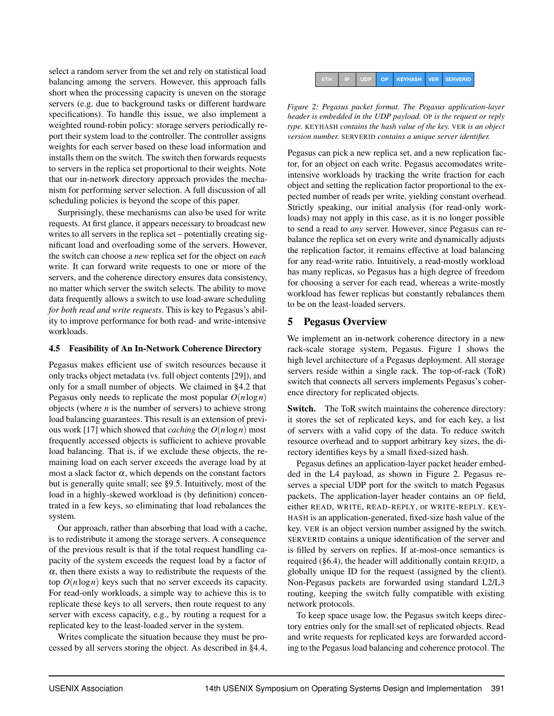select a random server from the set and rely on statistical load balancing among the servers. However, this approach falls short when the processing capacity is uneven on the storage servers (e.g. due to background tasks or different hardware specifications). To handle this issue, we also implement a weighted round-robin policy: storage servers periodically report their system load to the controller. The controller assigns weights for each server based on these load information and installs them on the switch. The switch then forwards requests to servers in the replica set proportional to their weights. Note that our in-network directory approach provides the mechanism for performing server selection. A full discussion of all scheduling policies is beyond the scope of this paper.

Surprisingly, these mechanisms can also be used for write requests. At first glance, it appears necessary to broadcast new writes to all servers in the replica set – potentially creating significant load and overloading some of the servers. However, the switch can choose a *new* replica set for the object on *each* write. It can forward write requests to one or more of the servers, and the coherence directory ensures data consistency, no matter which server the switch selects. The ability to move data frequently allows a switch to use load-aware scheduling *for both read and write requests*. This is key to Pegasus's ability to improve performance for both read- and write-intensive workloads.

## <span id="page-5-0"></span>4.5 Feasibility of An In-Network Coherence Directory

Pegasus makes efficient use of switch resources because it only tracks object metadata (vs. full object contents [\[29\]](#page-16-7)), and only for a small number of objects. We claimed in [§4.2](#page-4-0) that Pegasus only needs to replicate the most popular  $O(n \log n)$ objects (where  $n$  is the number of servers) to achieve strong load balancing guarantees. This result is an extension of previous work [\[17\]](#page-15-3) which showed that *caching* the *O*(*n*log*n*) most frequently accessed objects is sufficient to achieve provable load balancing. That is, if we exclude these objects, the remaining load on each server exceeds the average load by at most a slack factor  $\alpha$ , which depends on the constant factors but is generally quite small; see [§9.5.](#page-12-0) Intuitively, most of the load in a highly-skewed workload is (by definition) concentrated in a few keys, so eliminating that load rebalances the system.

Our approach, rather than absorbing that load with a cache, is to redistribute it among the storage servers. A consequence of the previous result is that if the total request handling capacity of the system exceeds the request load by a factor of  $\alpha$ , then there exists a way to redistribute the requests of the top  $O(n \log n)$  keys such that no server exceeds its capacity. For read-only workloads, a simple way to achieve this is to replicate these keys to all servers, then route request to any server with excess capacity, e.g., by routing a request for a replicated key to the least-loaded server in the system.

Writes complicate the situation because they must be processed by all servers storing the object. As described in [§4.4,](#page-4-1)

<span id="page-5-1"></span>

|  |  |  |  | ETH IP UDP OP KEYHASH VER SERVERID |  |  |
|--|--|--|--|------------------------------------|--|--|
|--|--|--|--|------------------------------------|--|--|

*Figure 2: Pegasus packet format. The Pegasus application-layer header is embedded in the UDP payload.* OP *is the request or reply type.* KEYHASH *contains the hash value of the key.* VER *is an object version number.* SERVERID *contains a unique server identifier.*

Pegasus can pick a new replica set, and a new replication factor, for an object on each write. Pegasus accomodates writeintensive workloads by tracking the write fraction for each object and setting the replication factor proportional to the expected number of reads per write, yielding constant overhead. Strictly speaking, our initial analysis (for read-only workloads) may not apply in this case, as it is no longer possible to send a read to *any* server. However, since Pegasus can rebalance the replica set on every write and dynamically adjusts the replication factor, it remains effective at load balancing for any read-write ratio. Intuitively, a read-mostly workload has many replicas, so Pegasus has a high degree of freedom for choosing a server for each read, whereas a write-mostly workload has fewer replicas but constantly rebalances them to be on the least-loaded servers.

## <span id="page-5-2"></span>5 Pegasus Overview

We implement an in-network coherence directory in a new rack-scale storage system, Pegasus. [Figure 1](#page-3-1) shows the high level architecture of a Pegasus deployment. All storage servers reside within a single rack. The top-of-rack (ToR) switch that connects all servers implements Pegasus's coherence directory for replicated objects.

Switch. The ToR switch maintains the coherence directory: it stores the set of replicated keys, and for each key, a list of servers with a valid copy of the data. To reduce switch resource overhead and to support arbitrary key sizes, the directory identifies keys by a small fixed-sized hash.

Pegasus defines an application-layer packet header embedded in the L4 payload, as shown in [Figure 2.](#page-5-1) Pegasus reserves a special UDP port for the switch to match Pegasus packets. The application-layer header contains an OP field, either READ, WRITE, READ-REPLY, or WRITE-REPLY. KEY-HASH is an application-generated, fixed-size hash value of the key. VER is an object version number assigned by the switch. SERVERID contains a unique identification of the server and is filled by servers on replies. If at-most-once semantics is required [\(§6.4\)](#page-7-0), the header will additionally contain REQID, a globally unique ID for the request (assigned by the client). Non-Pegasus packets are forwarded using standard L2/L3 routing, keeping the switch fully compatible with existing network protocols.

To keep space usage low, the Pegasus switch keeps directory entries only for the small set of replicated objects. Read and write requests for replicated keys are forwarded according to the Pegasus load balancing and coherence protocol. The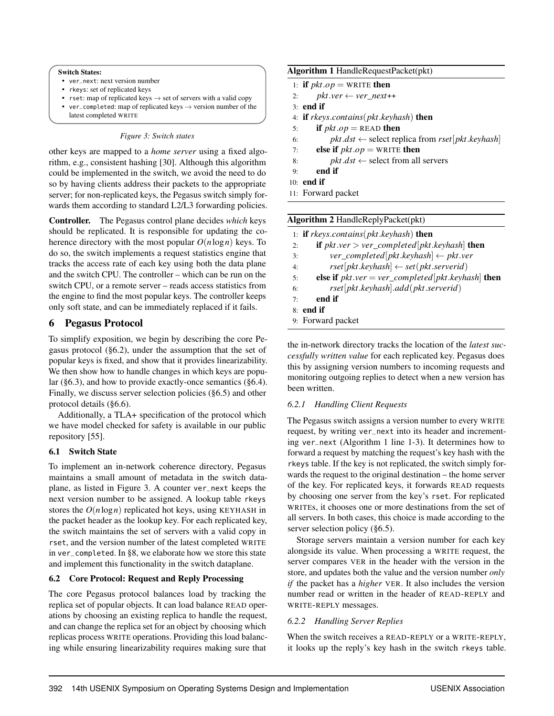#### <span id="page-6-2"></span>Switch States:

- ver\_next: next version number
- rkeys: set of replicated keys
- rset: map of replicated keys  $\rightarrow$  set of servers with a valid copy
- ver\_completed: map of replicated keys  $\rightarrow$  version number of the latest completed WRITE

#### *Figure 3: Switch states*

other keys are mapped to a *home server* using a fixed algorithm, e.g., consistent hashing [\[30\]](#page-16-0). Although this algorithm could be implemented in the switch, we avoid the need to do so by having clients address their packets to the appropriate server; for non-replicated keys, the Pegasus switch simply forwards them according to standard L2/L3 forwarding policies.

Controller. The Pegasus control plane decides *which* keys should be replicated. It is responsible for updating the coherence directory with the most popular  $O(n \log n)$  keys. To do so, the switch implements a request statistics engine that tracks the access rate of each key using both the data plane and the switch CPU. The controller – which can be run on the switch CPU, or a remote server – reads access statistics from the engine to find the most popular keys. The controller keeps only soft state, and can be immediately replaced if it fails.

## <span id="page-6-0"></span>6 Pegasus Protocol

To simplify exposition, we begin by describing the core Pegasus protocol [\(§6.2\)](#page-6-1), under the assumption that the set of popular keys is fixed, and show that it provides linearizability. We then show how to handle changes in which keys are popular [\(§6.3\)](#page-7-1), and how to provide exactly-once semantics [\(§6.4\)](#page-7-0). Finally, we discuss server selection policies [\(§6.5\)](#page-8-0) and other protocol details [\(§6.6\)](#page-8-1).

Additionally, a TLA+ specification of the protocol which we have model checked for safety is available in our public repository [\[55\]](#page-17-14).

## 6.1 Switch State

To implement an in-network coherence directory, Pegasus maintains a small amount of metadata in the switch dataplane, as listed in [Figure 3.](#page-6-2) A counter ver\_next keeps the next version number to be assigned. A lookup table rkeys stores the  $O(n \log n)$  replicated hot keys, using KEYHASH in the packet header as the lookup key. For each replicated key, the switch maintains the set of servers with a valid copy in rset, and the version number of the latest completed WRITE in ver\_completed. In [§8,](#page-9-0) we elaborate how we store this state and implement this functionality in the switch dataplane.

## <span id="page-6-1"></span>6.2 Core Protocol: Request and Reply Processing

The core Pegasus protocol balances load by tracking the replica set of popular objects. It can load balance READ operations by choosing an existing replica to handle the request, and can change the replica set for an object by choosing which replicas process WRITE operations. Providing this load balancing while ensuring linearizability requires making sure that

## <span id="page-6-3"></span>Algorithm 1 HandleRequestPacket(pkt)

- 1: **if**  $pkt \cdot op = \text{WRITE}$  then
- 2: *pkt.ver*  $\leftarrow$  *ver next*++
- 3: end if
- 4: if *rkeys*.*contains*(*pkt*.*keyhash*) then
- 5: **if**  $pkt.op = READ$  **then**
- 6: *pkt.dst*  $\leftarrow$  select replica from *rset*[*pkt.keyhash*]
- 7: **else if**  $pkt \cdot op = \text{WRITE}$  then
- 8:  $pkt.dst \leftarrow select from all servers$
- $9:$  end if
- 10: end if
- 11: Forward packet

## <span id="page-6-4"></span>Algorithm 2 HandleReplyPacket(pkt)

|          | 1: <b>if</b> rkeys.contains( $pkt$ .keyhash) <b>then</b>              |
|----------|-----------------------------------------------------------------------|
| 2:       | <b>if</b> $pkt \cdot ver \geq ver\_completed[pkt \cdot keyhash]$ then |
| 3:       | $ver\_completed[pkt.keyhash] \leftarrow plt.ver$                      |
| 4:       | $rset[ptt.keyhash] \leftarrow set(plt.serverid)$                      |
| 5:       | else if $pkt.ver = ver\_completed[pkt.keyhash]$ then                  |
| 6:       | rset[plet.keyhash].add(pkt.serverid)                                  |
| $7\cdot$ | end if                                                                |
|          | $8:$ end if                                                           |
|          | 9: Forward packet                                                     |

the in-network directory tracks the location of the *latest successfully written value* for each replicated key. Pegasus does this by assigning version numbers to incoming requests and monitoring outgoing replies to detect when a new version has been written.

## *6.2.1 Handling Client Requests*

The Pegasus switch assigns a version number to every WRITE request, by writing ver\_next into its header and incrementing ver\_next [\(Algorithm 1](#page-6-3) line 1-3). It determines how to forward a request by matching the request's key hash with the rkeys table. If the key is not replicated, the switch simply forwards the request to the original destination – the home server of the key. For replicated keys, it forwards READ requests by choosing one server from the key's rset. For replicated WRITEs, it chooses one or more destinations from the set of all servers. In both cases, this choice is made according to the server selection policy [\(§6.5\)](#page-8-0).

Storage servers maintain a version number for each key alongside its value. When processing a WRITE request, the server compares VER in the header with the version in the store, and updates both the value and the version number *only if* the packet has a *higher* VER. It also includes the version number read or written in the header of READ-REPLY and WRITE-REPLY messages.

## *6.2.2 Handling Server Replies*

When the switch receives a READ-REPLY or a WRITE-REPLY, it looks up the reply's key hash in the switch rkeys table.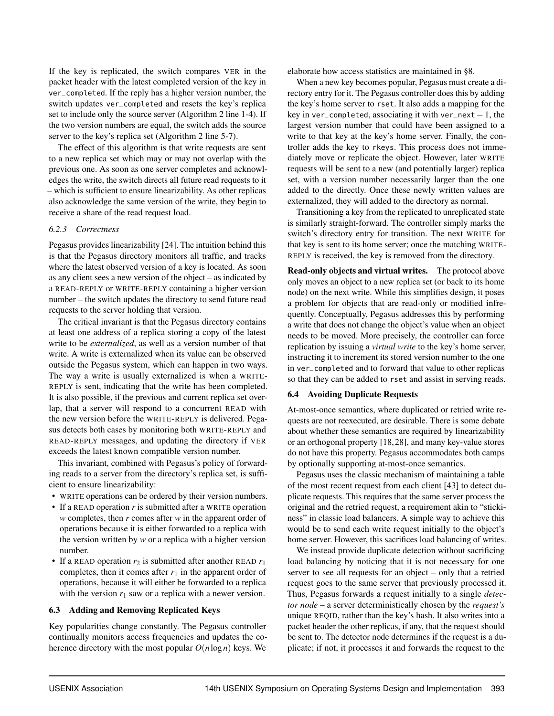If the key is replicated, the switch compares VER in the packet header with the latest completed version of the key in ver\_completed. If the reply has a higher version number, the switch updates ver\_completed and resets the key's replica set to include only the source server [\(Algorithm 2](#page-6-4) line 1-4). If the two version numbers are equal, the switch adds the source server to the key's replica set [\(Algorithm 2](#page-6-4) line 5-7).

The effect of this algorithm is that write requests are sent to a new replica set which may or may not overlap with the previous one. As soon as one server completes and acknowledges the write, the switch directs all future read requests to it – which is sufficient to ensure linearizability. As other replicas also acknowledge the same version of the write, they begin to receive a share of the read request load.

## *6.2.3 Correctness*

Pegasus provides linearizability [\[24\]](#page-16-16). The intuition behind this is that the Pegasus directory monitors all traffic, and tracks where the latest observed version of a key is located. As soon as any client sees a new version of the object – as indicated by a READ-REPLY or WRITE-REPLY containing a higher version number – the switch updates the directory to send future read requests to the server holding that version.

The critical invariant is that the Pegasus directory contains at least one address of a replica storing a copy of the latest write to be *externalized*, as well as a version number of that write. A write is externalized when its value can be observed outside the Pegasus system, which can happen in two ways. The way a write is usually externalized is when a WRITE-REPLY is sent, indicating that the write has been completed. It is also possible, if the previous and current replica set overlap, that a server will respond to a concurrent READ with the new version before the WRITE-REPLY is delivered. Pegasus detects both cases by monitoring both WRITE-REPLY and READ-REPLY messages, and updating the directory if VER exceeds the latest known compatible version number.

This invariant, combined with Pegasus's policy of forwarding reads to a server from the directory's replica set, is sufficient to ensure linearizability:

- WRITE operations can be ordered by their version numbers.
- If a READ operation *r* is submitted after a WRITE operation *w* completes, then *r* comes after *w* in the apparent order of operations because it is either forwarded to a replica with the version written by *w* or a replica with a higher version number.
- If a READ operation  $r_2$  is submitted after another READ  $r_1$ completes, then it comes after  $r_1$  in the apparent order of operations, because it will either be forwarded to a replica with the version  $r_1$  saw or a replica with a newer version.

#### <span id="page-7-1"></span>6.3 Adding and Removing Replicated Keys

Key popularities change constantly. The Pegasus controller continually monitors access frequencies and updates the coherence directory with the most popular  $O(n \log n)$  keys. We elaborate how access statistics are maintained in [§8.](#page-9-0)

When a new key becomes popular, Pegasus must create a directory entry for it. The Pegasus controller does this by adding the key's home server to rset. It also adds a mapping for the key in ver\_completed, associating it with ver\_next  $-1$ , the largest version number that could have been assigned to a write to that key at the key's home server. Finally, the controller adds the key to rkeys. This process does not immediately move or replicate the object. However, later WRITE requests will be sent to a new (and potentially larger) replica set, with a version number necessarily larger than the one added to the directly. Once these newly written values are externalized, they will added to the directory as normal.

Transitioning a key from the replicated to unreplicated state is similarly straight-forward. The controller simply marks the switch's directory entry for transition. The next WRITE for that key is sent to its home server; once the matching WRITE-REPLY is received, the key is removed from the directory.

Read-only objects and virtual writes. The protocol above only moves an object to a new replica set (or back to its home node) on the next write. While this simplifies design, it poses a problem for objects that are read-only or modified infrequently. Conceptually, Pegasus addresses this by performing a write that does not change the object's value when an object needs to be moved. More precisely, the controller can force replication by issuing a *virtual write* to the key's home server, instructing it to increment its stored version number to the one in ver\_completed and to forward that value to other replicas so that they can be added to rset and assist in serving reads.

#### <span id="page-7-0"></span>6.4 Avoiding Duplicate Requests

At-most-once semantics, where duplicated or retried write requests are not reexecuted, are desirable. There is some debate about whether these semantics are required by linearizability or an orthogonal property [\[18,](#page-15-13) [28\]](#page-16-18), and many key-value stores do not have this property. Pegasus accommodates both camps by optionally supporting at-most-once semantics.

Pegasus uses the classic mechanism of maintaining a table of the most recent request from each client [\[43\]](#page-17-15) to detect duplicate requests. This requires that the same server process the original and the retried request, a requirement akin to "stickiness" in classic load balancers. A simple way to achieve this would be to send each write request initially to the object's home server. However, this sacrifices load balancing of writes.

We instead provide duplicate detection without sacrificing load balancing by noticing that it is not necessary for one server to see all requests for an object – only that a retried request goes to the same server that previously processed it. Thus, Pegasus forwards a request initially to a single *detector node* – a server deterministically chosen by the *request's* unique REQID, rather than the key's hash. It also writes into a packet header the other replicas, if any, that the request should be sent to. The detector node determines if the request is a duplicate; if not, it processes it and forwards the request to the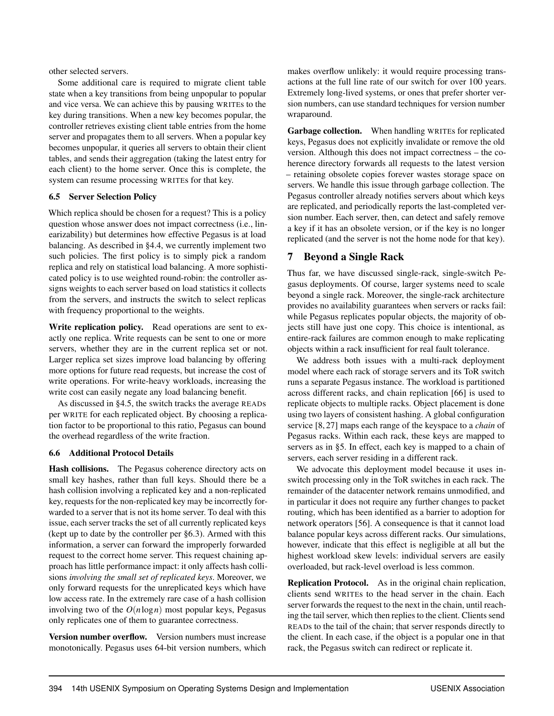other selected servers.

Some additional care is required to migrate client table state when a key transitions from being unpopular to popular and vice versa. We can achieve this by pausing WRITEs to the key during transitions. When a new key becomes popular, the controller retrieves existing client table entries from the home server and propagates them to all servers. When a popular key becomes unpopular, it queries all servers to obtain their client tables, and sends their aggregation (taking the latest entry for each client) to the home server. Once this is complete, the system can resume processing WRITEs for that key.

## <span id="page-8-0"></span>6.5 Server Selection Policy

Which replica should be chosen for a request? This is a policy question whose answer does not impact correctness (i.e., linearizability) but determines how effective Pegasus is at load balancing. As described in [§4.4,](#page-4-1) we currently implement two such policies. The first policy is to simply pick a random replica and rely on statistical load balancing. A more sophisticated policy is to use weighted round-robin: the controller assigns weights to each server based on load statistics it collects from the servers, and instructs the switch to select replicas with frequency proportional to the weights.

Write replication policy. Read operations are sent to exactly one replica. Write requests can be sent to one or more servers, whether they are in the current replica set or not. Larger replica set sizes improve load balancing by offering more options for future read requests, but increase the cost of write operations. For write-heavy workloads, increasing the write cost can easily negate any load balancing benefit.

As discussed in [§4.5,](#page-5-0) the switch tracks the average READs per WRITE for each replicated object. By choosing a replication factor to be proportional to this ratio, Pegasus can bound the overhead regardless of the write fraction.

## <span id="page-8-1"></span>6.6 Additional Protocol Details

Hash collisions. The Pegasus coherence directory acts on small key hashes, rather than full keys. Should there be a hash collision involving a replicated key and a non-replicated key, requests for the non-replicated key may be incorrectly forwarded to a server that is not its home server. To deal with this issue, each server tracks the set of all currently replicated keys (kept up to date by the controller per [§6.3\)](#page-7-1). Armed with this information, a server can forward the improperly forwarded request to the correct home server. This request chaining approach has little performance impact: it only affects hash collisions *involving the small set of replicated keys*. Moreover, we only forward requests for the unreplicated keys which have low access rate. In the extremely rare case of a hash collision involving two of the *O*(*n*log*n*) most popular keys, Pegasus only replicates one of them to guarantee correctness.

Version number overflow. Version numbers must increase monotonically. Pegasus uses 64-bit version numbers, which

makes overflow unlikely: it would require processing transactions at the full line rate of our switch for over 100 years. Extremely long-lived systems, or ones that prefer shorter version numbers, can use standard techniques for version number wraparound.

Garbage collection. When handling WRITEs for replicated keys, Pegasus does not explicitly invalidate or remove the old version. Although this does not impact correctness – the coherence directory forwards all requests to the latest version – retaining obsolete copies forever wastes storage space on servers. We handle this issue through garbage collection. The Pegasus controller already notifies servers about which keys are replicated, and periodically reports the last-completed version number. Each server, then, can detect and safely remove a key if it has an obsolete version, or if the key is no longer replicated (and the server is not the home node for that key).

## 7 Beyond a Single Rack

Thus far, we have discussed single-rack, single-switch Pegasus deployments. Of course, larger systems need to scale beyond a single rack. Moreover, the single-rack architecture provides no availability guarantees when servers or racks fail: while Pegasus replicates popular objects, the majority of objects still have just one copy. This choice is intentional, as entire-rack failures are common enough to make replicating objects within a rack insufficient for real fault tolerance.

We address both issues with a multi-rack deployment model where each rack of storage servers and its ToR switch runs a separate Pegasus instance. The workload is partitioned across different racks, and chain replication [\[66\]](#page-18-1) is used to replicate objects to multiple racks. Object placement is done using two layers of consistent hashing. A global configuration service [\[8,](#page-15-12) [27\]](#page-16-17) maps each range of the keyspace to a *chain* of Pegasus racks. Within each rack, these keys are mapped to servers as in [§5.](#page-5-2) In effect, each key is mapped to a chain of servers, each server residing in a different rack.

We advocate this deployment model because it uses inswitch processing only in the ToR switches in each rack. The remainder of the datacenter network remains unmodified, and in particular it does not require any further changes to packet routing, which has been identified as a barrier to adoption for network operators [\[56\]](#page-17-3). A consequence is that it cannot load balance popular keys across different racks. Our simulations, however, indicate that this effect is negligible at all but the highest workload skew levels: individual servers are easily overloaded, but rack-level overload is less common.

Replication Protocol. As in the original chain replication, clients send WRITEs to the head server in the chain. Each server forwards the request to the next in the chain, until reaching the tail server, which then replies to the client. Clients send READs to the tail of the chain; that server responds directly to the client. In each case, if the object is a popular one in that rack, the Pegasus switch can redirect or replicate it.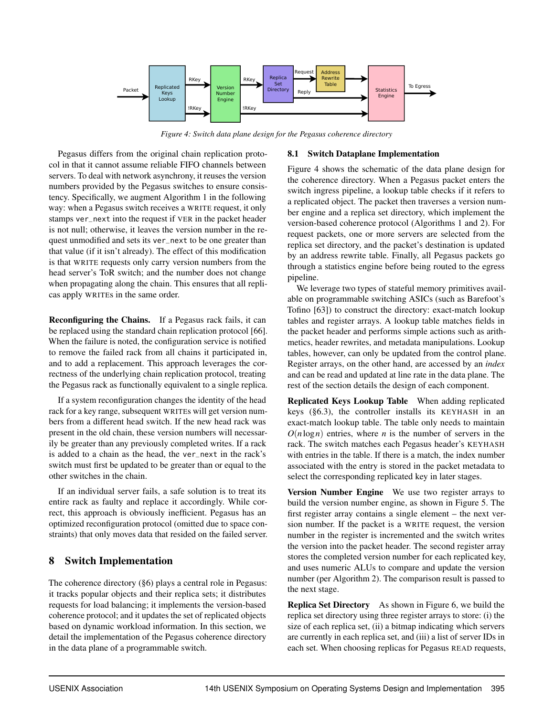<span id="page-9-1"></span>

*Figure 4: Switch data plane design for the Pegasus coherence directory*

Pegasus differs from the original chain replication protocol in that it cannot assume reliable FIFO channels between servers. To deal with network asynchrony, it reuses the version numbers provided by the Pegasus switches to ensure consistency. Specifically, we augment [Algorithm 1](#page-6-3) in the following way: when a Pegasus switch receives a WRITE request, it only stamps ver\_next into the request if VER in the packet header is not null; otherwise, it leaves the version number in the request unmodified and sets its ver\_next to be one greater than that value (if it isn't already). The effect of this modification is that WRITE requests only carry version numbers from the head server's ToR switch; and the number does not change when propagating along the chain. This ensures that all replicas apply WRITEs in the same order.

Reconfiguring the Chains. If a Pegasus rack fails, it can be replaced using the standard chain replication protocol [\[66\]](#page-18-1). When the failure is noted, the configuration service is notified to remove the failed rack from all chains it participated in, and to add a replacement. This approach leverages the correctness of the underlying chain replication protocol, treating the Pegasus rack as functionally equivalent to a single replica.

If a system reconfiguration changes the identity of the head rack for a key range, subsequent WRITEs will get version numbers from a different head switch. If the new head rack was present in the old chain, these version numbers will necessarily be greater than any previously completed writes. If a rack is added to a chain as the head, the ver\_next in the rack's switch must first be updated to be greater than or equal to the other switches in the chain.

If an individual server fails, a safe solution is to treat its entire rack as faulty and replace it accordingly. While correct, this approach is obviously inefficient. Pegasus has an optimized reconfiguration protocol (omitted due to space constraints) that only moves data that resided on the failed server.

## <span id="page-9-0"></span>8 Switch Implementation

The coherence directory [\(§6\)](#page-6-0) plays a central role in Pegasus: it tracks popular objects and their replica sets; it distributes requests for load balancing; it implements the version-based coherence protocol; and it updates the set of replicated objects based on dynamic workload information. In this section, we detail the implementation of the Pegasus coherence directory in the data plane of a programmable switch.

## 8.1 Switch Dataplane Implementation

[Figure 4](#page-9-1) shows the schematic of the data plane design for the coherence directory. When a Pegasus packet enters the switch ingress pipeline, a lookup table checks if it refers to a replicated object. The packet then traverses a version number engine and a replica set directory, which implement the version-based coherence protocol (Algorithms [1](#page-6-3) and [2\)](#page-6-4). For request packets, one or more servers are selected from the replica set directory, and the packet's destination is updated by an address rewrite table. Finally, all Pegasus packets go through a statistics engine before being routed to the egress pipeline.

We leverage two types of stateful memory primitives available on programmable switching ASICs (such as Barefoot's Tofino [\[63\]](#page-17-16)) to construct the directory: exact-match lookup tables and register arrays. A lookup table matches fields in the packet header and performs simple actions such as arithmetics, header rewrites, and metadata manipulations. Lookup tables, however, can only be updated from the control plane. Register arrays, on the other hand, are accessed by an *index* and can be read and updated at line rate in the data plane. The rest of the section details the design of each component.

Replicated Keys Lookup Table When adding replicated keys [\(§6.3\)](#page-7-1), the controller installs its KEYHASH in an exact-match lookup table. The table only needs to maintain  $O(n \log n)$  entries, where *n* is the number of servers in the rack. The switch matches each Pegasus header's KEYHASH with entries in the table. If there is a match, the index number associated with the entry is stored in the packet metadata to select the corresponding replicated key in later stages.

Version Number Engine We use two register arrays to build the version number engine, as shown in [Figure 5.](#page-10-0) The first register array contains a single element – the next version number. If the packet is a WRITE request, the version number in the register is incremented and the switch writes the version into the packet header. The second register array stores the completed version number for each replicated key, and uses numeric ALUs to compare and update the version number (per [Algorithm 2\)](#page-6-4). The comparison result is passed to the next stage.

Replica Set Directory As shown in [Figure 6,](#page-10-1) we build the replica set directory using three register arrays to store: (i) the size of each replica set, (ii) a bitmap indicating which servers are currently in each replica set, and (iii) a list of server IDs in each set. When choosing replicas for Pegasus READ requests,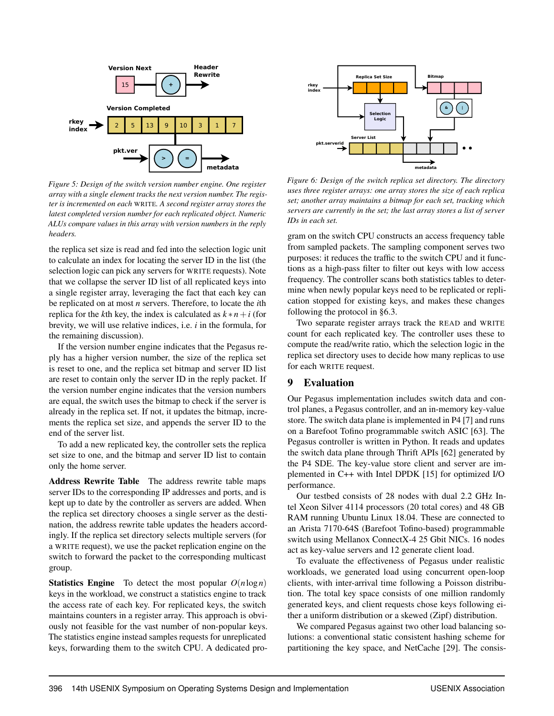<span id="page-10-0"></span>

*Figure 5: Design of the switch version number engine. One register array with a single element tracks the next version number. The register is incremented on each* WRITE*. A second register array stores the latest completed version number for each replicated object. Numeric ALUs compare values in this array with version numbers in the reply headers.*

the replica set size is read and fed into the selection logic unit to calculate an index for locating the server ID in the list (the selection logic can pick any servers for WRITE requests). Note that we collapse the server ID list of all replicated keys into a single register array, leveraging the fact that each key can be replicated on at most *n* servers. Therefore, to locate the *i*th replica for the *k*th key, the index is calculated as  $k * n + i$  (for brevity, we will use relative indices, i.e. *i* in the formula, for the remaining discussion).

If the version number engine indicates that the Pegasus reply has a higher version number, the size of the replica set is reset to one, and the replica set bitmap and server ID list are reset to contain only the server ID in the reply packet. If the version number engine indicates that the version numbers are equal, the switch uses the bitmap to check if the server is already in the replica set. If not, it updates the bitmap, increments the replica set size, and appends the server ID to the end of the server list.

To add a new replicated key, the controller sets the replica set size to one, and the bitmap and server ID list to contain only the home server.

Address Rewrite Table The address rewrite table maps server IDs to the corresponding IP addresses and ports, and is kept up to date by the controller as servers are added. When the replica set directory chooses a single server as the destination, the address rewrite table updates the headers accordingly. If the replica set directory selects multiple servers (for a WRITE request), we use the packet replication engine on the switch to forward the packet to the corresponding multicast group.

**Statistics Engine** To detect the most popular  $O(n \log n)$ keys in the workload, we construct a statistics engine to track the access rate of each key. For replicated keys, the switch maintains counters in a register array. This approach is obviously not feasible for the vast number of non-popular keys. The statistics engine instead samples requests for unreplicated keys, forwarding them to the switch CPU. A dedicated pro-

<span id="page-10-1"></span>

*Figure 6: Design of the switch replica set directory. The directory uses three register arrays: one array stores the size of each replica set; another array maintains a bitmap for each set, tracking which servers are currently in the set; the last array stores a list of server IDs in each set.*

gram on the switch CPU constructs an access frequency table from sampled packets. The sampling component serves two purposes: it reduces the traffic to the switch CPU and it functions as a high-pass filter to filter out keys with low access frequency. The controller scans both statistics tables to determine when newly popular keys need to be replicated or replication stopped for existing keys, and makes these changes following the protocol in [§6.3.](#page-7-1)

Two separate register arrays track the READ and WRITE count for each replicated key. The controller uses these to compute the read/write ratio, which the selection logic in the replica set directory uses to decide how many replicas to use for each WRITE request.

## <span id="page-10-2"></span>9 Evaluation

Our Pegasus implementation includes switch data and control planes, a Pegasus controller, and an in-memory key-value store. The switch data plane is implemented in P4 [\[7\]](#page-15-14) and runs on a Barefoot Tofino programmable switch ASIC [\[63\]](#page-17-16). The Pegasus controller is written in Python. It reads and updates the switch data plane through Thrift APIs [\[62\]](#page-17-17) generated by the P4 SDE. The key-value store client and server are implemented in C++ with Intel DPDK [\[15\]](#page-15-15) for optimized I/O performance.

Our testbed consists of 28 nodes with dual 2.2 GHz Intel Xeon Silver 4114 processors (20 total cores) and 48 GB RAM running Ubuntu Linux 18.04. These are connected to an Arista 7170-64S (Barefoot Tofino-based) programmable switch using Mellanox ConnectX-4 25 Gbit NICs. 16 nodes act as key-value servers and 12 generate client load.

To evaluate the effectiveness of Pegasus under realistic workloads, we generated load using concurrent open-loop clients, with inter-arrival time following a Poisson distribution. The total key space consists of one million randomly generated keys, and client requests chose keys following either a uniform distribution or a skewed (Zipf) distribution.

We compared Pegasus against two other load balancing solutions: a conventional static consistent hashing scheme for partitioning the key space, and NetCache [\[29\]](#page-16-7). The consis-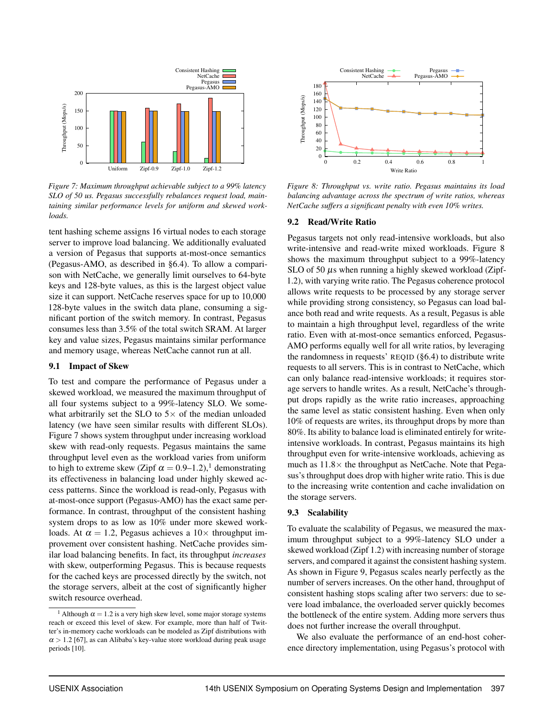<span id="page-11-0"></span>

*Figure 7: Maximum throughput achievable subject to a 99% latency SLO of 50 us. Pegasus successfully rebalances request load, maintaining similar performance levels for uniform and skewed workloads.*

tent hashing scheme assigns 16 virtual nodes to each storage server to improve load balancing. We additionally evaluated a version of Pegasus that supports at-most-once semantics (Pegasus-AMO, as described in [§6.4\)](#page-7-0). To allow a comparison with NetCache, we generally limit ourselves to 64-byte keys and 128-byte values, as this is the largest object value size it can support. NetCache reserves space for up to 10,000 128-byte values in the switch data plane, consuming a significant portion of the switch memory. In contrast, Pegasus consumes less than 3.5% of the total switch SRAM. At larger key and value sizes, Pegasus maintains similar performance and memory usage, whereas NetCache cannot run at all.

#### 9.1 Impact of Skew

To test and compare the performance of Pegasus under a skewed workload, we measured the maximum throughput of all four systems subject to a 99%-latency SLO. We somewhat arbitrarily set the SLO to  $5 \times$  of the median unloaded latency (we have seen similar results with different SLOs). [Figure 7](#page-11-0) shows system throughput under increasing workload skew with read-only requests. Pegasus maintains the same throughput level even as the workload varies from uniform to high to extreme skew (Zipf  $\alpha = 0.9-1.2$  $\alpha = 0.9-1.2$  $\alpha = 0.9-1.2$ ),<sup>1</sup> demonstrating its effectiveness in balancing load under highly skewed access patterns. Since the workload is read-only, Pegasus with at-most-once support (Pegasus-AMO) has the exact same performance. In contrast, throughput of the consistent hashing system drops to as low as 10% under more skewed workloads. At  $\alpha = 1.2$ , Pegasus achieves a  $10 \times$  throughput improvement over consistent hashing. NetCache provides similar load balancing benefits. In fact, its throughput *increases* with skew, outperforming Pegasus. This is because requests for the cached keys are processed directly by the switch, not the storage servers, albeit at the cost of significantly higher switch resource overhead.

<span id="page-11-3"></span>

*Figure 8: Throughput vs. write ratio. Pegasus maintains its load balancing advantage across the spectrum of write ratios, whereas NetCache suffers a significant penalty with even 10% writes.*

#### 9.2 Read/Write Ratio

Pegasus targets not only read-intensive workloads, but also write-intensive and read-write mixed workloads. [Figure 8](#page-11-3) shows the maximum throughput subject to a 99%-latency SLO of 50  $\mu$ s when running a highly skewed workload (Zipf-1.2), with varying write ratio. The Pegasus coherence protocol allows write requests to be processed by any storage server while providing strong consistency, so Pegasus can load balance both read and write requests. As a result, Pegasus is able to maintain a high throughput level, regardless of the write ratio. Even with at-most-once semantics enforced, Pegasus-AMO performs equally well for all write ratios, by leveraging the randomness in requests' REQID [\(§6.4\)](#page-7-0) to distribute write requests to all servers. This is in contrast to NetCache, which can only balance read-intensive workloads; it requires storage servers to handle writes. As a result, NetCache's throughput drops rapidly as the write ratio increases, approaching the same level as static consistent hashing. Even when only 10% of requests are writes, its throughput drops by more than 80%. Its ability to balance load is eliminated entirely for writeintensive workloads. In contrast, Pegasus maintains its high throughput even for write-intensive workloads, achieving as much as  $11.8\times$  the throughput as NetCache. Note that Pegasus's throughput does drop with higher write ratio. This is due to the increasing write contention and cache invalidation on the storage servers.

#### <span id="page-11-2"></span>9.3 Scalability

To evaluate the scalability of Pegasus, we measured the maximum throughput subject to a 99%-latency SLO under a skewed workload (Zipf 1.2) with increasing number of storage servers, and compared it against the consistent hashing system. As shown in [Figure 9,](#page-12-1) Pegasus scales nearly perfectly as the number of servers increases. On the other hand, throughput of consistent hashing stops scaling after two servers: due to severe load imbalance, the overloaded server quickly becomes the bottleneck of the entire system. Adding more servers thus does not further increase the overall throughput.

We also evaluate the performance of an end-host coherence directory implementation, using Pegasus's protocol with

<span id="page-11-1"></span><sup>&</sup>lt;sup>[1](#page-11-2)</sup> Although  $\alpha = 1.2$  is a very high skew level, some major storage systems reach or exceed this level of skew. For example, more than half of Twitter's in-memory cache workloads can be modeled as Zipf distributions with  $\alpha$  > 1.2 [\[67\]](#page-18-0), as can Alibaba's key-value store workload during peak usage periods [\[10\]](#page-15-7).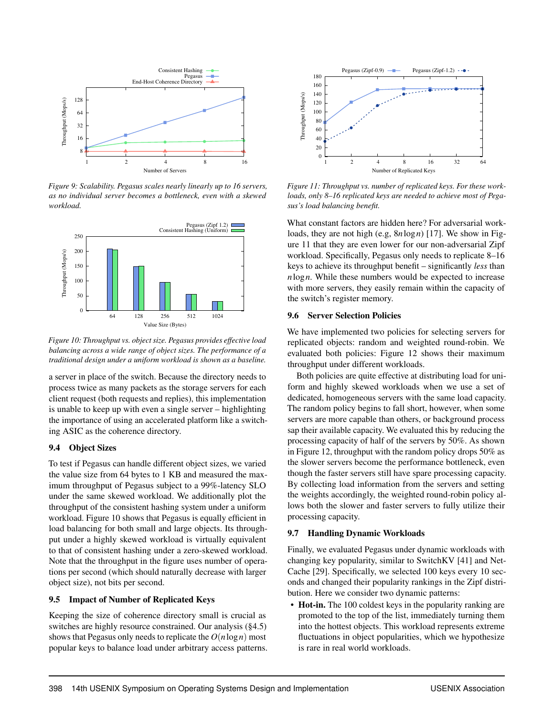<span id="page-12-1"></span>

*Figure 9: Scalability. Pegasus scales nearly linearly up to 16 servers, as no individual server becomes a bottleneck, even with a skewed workload.*

<span id="page-12-2"></span>

*Figure 10: Throughput vs. object size. Pegasus provides effective load balancing across a wide range of object sizes. The performance of a traditional design under a uniform workload is shown as a baseline.*

a server in place of the switch. Because the directory needs to process twice as many packets as the storage servers for each client request (both requests and replies), this implementation is unable to keep up with even a single server – highlighting the importance of using an accelerated platform like a switching ASIC as the coherence directory.

## 9.4 Object Sizes

To test if Pegasus can handle different object sizes, we varied the value size from 64 bytes to 1 KB and measured the maximum throughput of Pegasus subject to a 99%-latency SLO under the same skewed workload. We additionally plot the throughput of the consistent hashing system under a uniform workload. [Figure 10](#page-12-2) shows that Pegasus is equally efficient in load balancing for both small and large objects. Its throughput under a highly skewed workload is virtually equivalent to that of consistent hashing under a zero-skewed workload. Note that the throughput in the figure uses number of operations per second (which should naturally decrease with larger object size), not bits per second.

## <span id="page-12-0"></span>9.5 Impact of Number of Replicated Keys

Keeping the size of coherence directory small is crucial as switches are highly resource constrained. Our analysis [\(§4.5\)](#page-5-0) shows that Pegasus only needs to replicate the *O*(*n*log*n*) most popular keys to balance load under arbitrary access patterns.

<span id="page-12-3"></span>

*Figure 11: Throughput vs. number of replicated keys. For these workloads, only 8–16 replicated keys are needed to achieve most of Pegasus's load balancing benefit.*

What constant factors are hidden here? For adversarial workloads, they are not high (e.g, 8*n*log*n*) [\[17\]](#page-15-3). We show in [Fig](#page-12-3)[ure 11](#page-12-3) that they are even lower for our non-adversarial Zipf workload. Specifically, Pegasus only needs to replicate 8–16 keys to achieve its throughput benefit – significantly *less* than *n*log*n*. While these numbers would be expected to increase with more servers, they easily remain within the capacity of the switch's register memory.

## 9.6 Server Selection Policies

We have implemented two policies for selecting servers for replicated objects: random and weighted round-robin. We evaluated both policies: [Figure 12](#page-13-0) shows their maximum throughput under different workloads.

Both policies are quite effective at distributing load for uniform and highly skewed workloads when we use a set of dedicated, homogeneous servers with the same load capacity. The random policy begins to fall short, however, when some servers are more capable than others, or background process sap their available capacity. We evaluated this by reducing the processing capacity of half of the servers by 50%. As shown in [Figure 12,](#page-13-0) throughput with the random policy drops 50% as the slower servers become the performance bottleneck, even though the faster servers still have spare processing capacity. By collecting load information from the servers and setting the weights accordingly, the weighted round-robin policy allows both the slower and faster servers to fully utilize their processing capacity.

## 9.7 Handling Dynamic Workloads

Finally, we evaluated Pegasus under dynamic workloads with changing key popularity, similar to SwitchKV [\[41\]](#page-16-10) and Net-Cache [\[29\]](#page-16-7). Specifically, we selected 100 keys every 10 seconds and changed their popularity rankings in the Zipf distribution. Here we consider two dynamic patterns:

• Hot-in. The 100 coldest keys in the popularity ranking are promoted to the top of the list, immediately turning them into the hottest objects. This workload represents extreme fluctuations in object popularities, which we hypothesize is rare in real world workloads.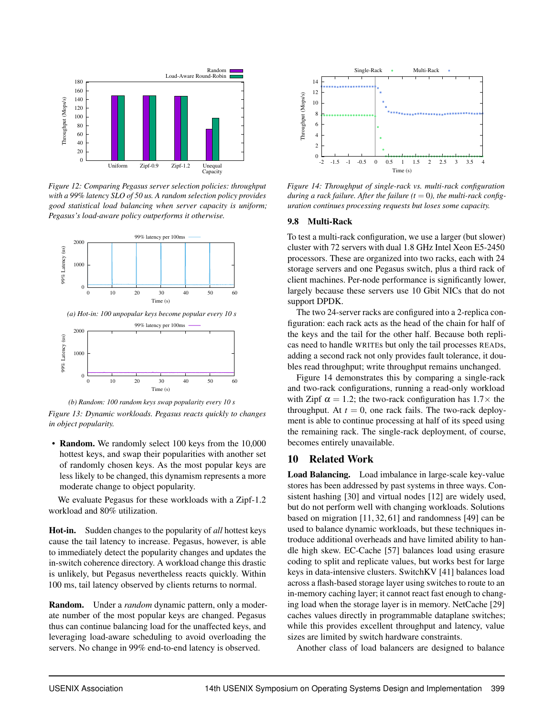<span id="page-13-0"></span>

*Figure 12: Comparing Pegasus server selection policies: throughput with a 99% latency SLO of 50 us. A random selection policy provides good statistical load balancing when server capacity is uniform; Pegasus's load-aware policy outperforms it otherwise.*





*(b) Random: 100 random keys swap popularity every 10 s*

*Figure 13: Dynamic workloads. Pegasus reacts quickly to changes in object popularity.*

• Random. We randomly select 100 keys from the 10,000 hottest keys, and swap their popularities with another set of randomly chosen keys. As the most popular keys are less likely to be changed, this dynamism represents a more moderate change to object popularity.

We evaluate Pegasus for these workloads with a Zipf-1.2 workload and 80% utilization.

Hot-in. Sudden changes to the popularity of *all* hottest keys cause the tail latency to increase. Pegasus, however, is able to immediately detect the popularity changes and updates the in-switch coherence directory. A workload change this drastic is unlikely, but Pegasus nevertheless reacts quickly. Within 100 ms, tail latency observed by clients returns to normal.

Random. Under a *random* dynamic pattern, only a moderate number of the most popular keys are changed. Pegasus thus can continue balancing load for the unaffected keys, and leveraging load-aware scheduling to avoid overloading the servers. No change in 99% end-to-end latency is observed.

<span id="page-13-1"></span>

*Figure 14: Throughput of single-rack vs. multi-rack configuration* during a rack failure. After the failure  $(t = 0)$ , the multi-rack config*uration continues processing requests but loses some capacity.*

#### 9.8 Multi-Rack

To test a multi-rack configuration, we use a larger (but slower) cluster with 72 servers with dual 1.8 GHz Intel Xeon E5-2450 processors. These are organized into two racks, each with 24 storage servers and one Pegasus switch, plus a third rack of client machines. Per-node performance is significantly lower, largely because these servers use 10 Gbit NICs that do not support DPDK.

The two 24-server racks are configured into a 2-replica configuration: each rack acts as the head of the chain for half of the keys and the tail for the other half. Because both replicas need to handle WRITEs but only the tail processes READs, adding a second rack not only provides fault tolerance, it doubles read throughput; write throughput remains unchanged.

[Figure 14](#page-13-1) demonstrates this by comparing a single-rack and two-rack configurations, running a read-only workload with Zipf  $\alpha = 1.2$ ; the two-rack configuration has  $1.7 \times$  the throughput. At  $t = 0$ , one rack fails. The two-rack deployment is able to continue processing at half of its speed using the remaining rack. The single-rack deployment, of course, becomes entirely unavailable.

## 10 Related Work

Load Balancing. Load imbalance in large-scale key-value stores has been addressed by past systems in three ways. Consistent hashing [\[30\]](#page-16-0) and virtual nodes [\[12\]](#page-15-16) are widely used, but do not perform well with changing workloads. Solutions based on migration [\[11,](#page-15-17) [32,](#page-16-19) [61\]](#page-17-18) and randomness [\[49\]](#page-17-1) can be used to balance dynamic workloads, but these techniques introduce additional overheads and have limited ability to handle high skew. EC-Cache [\[57\]](#page-17-9) balances load using erasure coding to split and replicate values, but works best for large keys in data-intensive clusters. SwitchKV [\[41\]](#page-16-10) balances load across a flash-based storage layer using switches to route to an in-memory caching layer; it cannot react fast enough to changing load when the storage layer is in memory. NetCache [\[29\]](#page-16-7) caches values directly in programmable dataplane switches; while this provides excellent throughput and latency, value sizes are limited by switch hardware constraints.

Another class of load balancers are designed to balance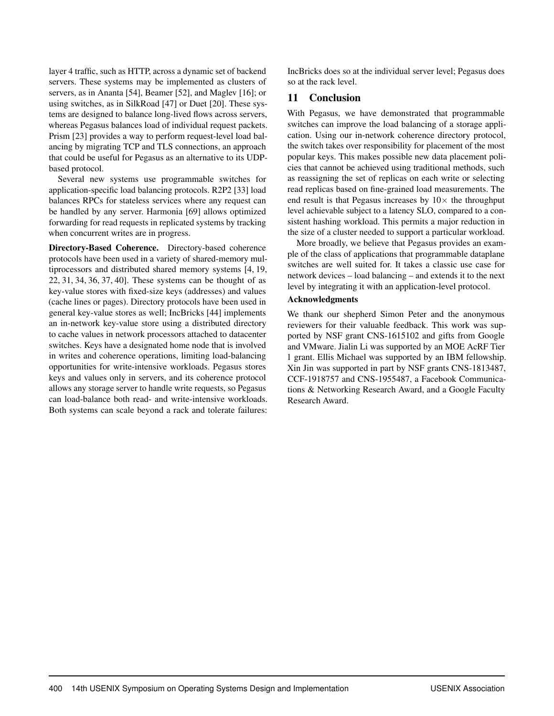layer 4 traffic, such as HTTP, across a dynamic set of backend servers. These systems may be implemented as clusters of servers, as in Ananta [\[54\]](#page-17-19), Beamer [\[52\]](#page-17-20), and Maglev [\[16\]](#page-15-18); or using switches, as in SilkRoad [\[47\]](#page-17-21) or Duet [\[20\]](#page-15-19). These systems are designed to balance long-lived flows across servers, whereas Pegasus balances load of individual request packets. Prism [\[23\]](#page-16-20) provides a way to perform request-level load balancing by migrating TCP and TLS connections, an approach that could be useful for Pegasus as an alternative to its UDPbased protocol.

Several new systems use programmable switches for application-specific load balancing protocols. R2P2 [\[33\]](#page-16-21) load balances RPCs for stateless services where any request can be handled by any server. Harmonia [\[69\]](#page-18-3) allows optimized forwarding for read requests in replicated systems by tracking when concurrent writes are in progress.

Directory-Based Coherence. Directory-based coherence protocols have been used in a variety of shared-memory multiprocessors and distributed shared memory systems [\[4,](#page-15-4) [19,](#page-15-5) [22,](#page-16-1) [31,](#page-16-2) [34,](#page-16-3) [36,](#page-16-4) [37,](#page-16-5) [40\]](#page-16-6). These systems can be thought of as key-value stores with fixed-size keys (addresses) and values (cache lines or pages). Directory protocols have been used in general key-value stores as well; IncBricks [\[44\]](#page-17-22) implements an in-network key-value store using a distributed directory to cache values in network processors attached to datacenter switches. Keys have a designated home node that is involved in writes and coherence operations, limiting load-balancing opportunities for write-intensive workloads. Pegasus stores keys and values only in servers, and its coherence protocol allows any storage server to handle write requests, so Pegasus can load-balance both read- and write-intensive workloads. Both systems can scale beyond a rack and tolerate failures: IncBricks does so at the individual server level; Pegasus does so at the rack level.

## 11 Conclusion

With Pegasus, we have demonstrated that programmable switches can improve the load balancing of a storage application. Using our in-network coherence directory protocol, the switch takes over responsibility for placement of the most popular keys. This makes possible new data placement policies that cannot be achieved using traditional methods, such as reassigning the set of replicas on each write or selecting read replicas based on fine-grained load measurements. The end result is that Pegasus increases by  $10\times$  the throughput level achievable subject to a latency SLO, compared to a consistent hashing workload. This permits a major reduction in the size of a cluster needed to support a particular workload.

More broadly, we believe that Pegasus provides an example of the class of applications that programmable dataplane switches are well suited for. It takes a classic use case for network devices – load balancing – and extends it to the next level by integrating it with an application-level protocol.

## Acknowledgments

We thank our shepherd Simon Peter and the anonymous reviewers for their valuable feedback. This work was supported by NSF grant CNS-1615102 and gifts from Google and VMware. Jialin Li was supported by an MOE AcRF Tier 1 grant. Ellis Michael was supported by an IBM fellowship. Xin Jin was supported in part by NSF grants CNS-1813487, CCF-1918757 and CNS-1955487, a Facebook Communications & Networking Research Award, and a Google Faculty Research Award.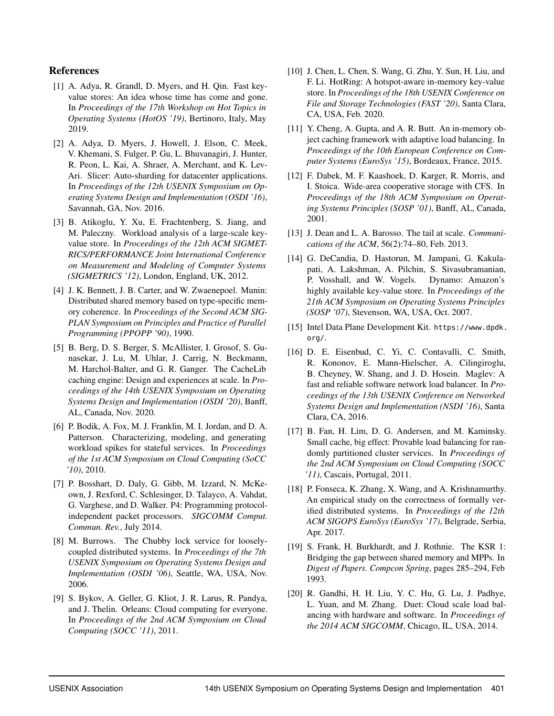## References

- <span id="page-15-8"></span>[1] A. Adya, R. Grandl, D. Myers, and H. Qin. Fast keyvalue stores: An idea whose time has come and gone. In *Proceedings of the 17th Workshop on Hot Topics in Operating Systems (HotOS '19)*, Bertinoro, Italy, May 2019.
- <span id="page-15-9"></span>[2] A. Adya, D. Myers, J. Howell, J. Elson, C. Meek, V. Khemani, S. Fulger, P. Gu, L. Bhuvanagiri, J. Hunter, R. Peon, L. Kai, A. Shraer, A. Merchant, and K. Lev-Ari. Slicer: Auto-sharding for datacenter applications. In *Proceedings of the 12th USENIX Symposium on Operating Systems Design and Implementation (OSDI '16)*, Savannah, GA, Nov. 2016.
- <span id="page-15-0"></span>[3] B. Atikoglu, Y. Xu, E. Frachtenberg, S. Jiang, and M. Paleczny. Workload analysis of a large-scale keyvalue store. In *Proceedings of the 12th ACM SIGMET-RICS/PERFORMANCE Joint International Conference on Measurement and Modeling of Computer Systems (SIGMETRICS '12)*, London, England, UK, 2012.
- <span id="page-15-4"></span>[4] J. K. Bennett, J. B. Carter, and W. Zwaenepoel. Munin: Distributed shared memory based on type-specific memory coherence. In *Proceedings of the Second ACM SIG-PLAN Symposium on Principles and Practice of Parallel Programming (PPOPP '90)*, 1990.
- <span id="page-15-1"></span>[5] B. Berg, D. S. Berger, S. McAllister, I. Grosof, S. Gunasekar, J. Lu, M. Uhlar, J. Carrig, N. Beckmann, M. Harchol-Balter, and G. R. Ganger. The CacheLib caching engine: Design and experiences at scale. In *Proceedings of the 14th USENIX Symposium on Operating Systems Design and Implementation (OSDI '20)*, Banff, AL, Canada, Nov. 2020.
- <span id="page-15-6"></span>[6] P. Bodik, A. Fox, M. J. Franklin, M. I. Jordan, and D. A. Patterson. Characterizing, modeling, and generating workload spikes for stateful services. In *Proceedings of the 1st ACM Symposium on Cloud Computing (SoCC '10)*, 2010.
- <span id="page-15-14"></span>[7] P. Bosshart, D. Daly, G. Gibb, M. Izzard, N. McKeown, J. Rexford, C. Schlesinger, D. Talayco, A. Vahdat, G. Varghese, and D. Walker. P4: Programming protocolindependent packet processors. *SIGCOMM Comput. Commun. Rev.*, July 2014.
- <span id="page-15-12"></span>[8] M. Burrows. The Chubby lock service for looselycoupled distributed systems. In *Proceedings of the 7th USENIX Symposium on Operating Systems Design and Implementation (OSDI '06)*, Seattle, WA, USA, Nov. 2006.
- <span id="page-15-10"></span>[9] S. Bykov, A. Geller, G. Kliot, J. R. Larus, R. Pandya, and J. Thelin. Orleans: Cloud computing for everyone. In *Proceedings of the 2nd ACM Symposium on Cloud Computing (SOCC '11)*, 2011.
- <span id="page-15-7"></span>[10] J. Chen, L. Chen, S. Wang, G. Zhu, Y. Sun, H. Liu, and F. Li. HotRing: A hotspot-aware in-memory key-value store. In *Proceedings of the 18th USENIX Conference on File and Storage Technologies (FAST '20)*, Santa Clara, CA, USA, Feb. 2020.
- <span id="page-15-17"></span>[11] Y. Cheng, A. Gupta, and A. R. Butt. An in-memory object caching framework with adaptive load balancing. In *Proceedings of the 10th European Conference on Computer Systems (EuroSys '15)*, Bordeaux, France, 2015.
- <span id="page-15-16"></span>[12] F. Dabek, M. F. Kaashoek, D. Karger, R. Morris, and I. Stoica. Wide-area cooperative storage with CFS. In *Proceedings of the 18th ACM Symposium on Operating Systems Principles (SOSP '01)*, Banff, AL, Canada, 2001.
- <span id="page-15-2"></span>[13] J. Dean and L. A. Barosso. The tail at scale. *Communications of the ACM*, 56(2):74–80, Feb. 2013.
- <span id="page-15-11"></span>[14] G. DeCandia, D. Hastorun, M. Jampani, G. Kakulapati, A. Lakshman, A. Pilchin, S. Sivasubramanian, P. Vosshall, and W. Vogels. Dynamo: Amazon's highly available key-value store. In *Proceedings of the 21th ACM Symposium on Operating Systems Principles (SOSP '07)*, Stevenson, WA, USA, Oct. 2007.
- <span id="page-15-15"></span>[15] Intel Data Plane Development Kit. [https://www.dpdk.](https://www.dpdk.org/) [org/](https://www.dpdk.org/).
- <span id="page-15-18"></span>[16] D. E. Eisenbud, C. Yi, C. Contavalli, C. Smith, R. Kononov, E. Mann-Hielscher, A. Cilingiroglu, B. Cheyney, W. Shang, and J. D. Hosein. Maglev: A fast and reliable software network load balancer. In *Proceedings of the 13th USENIX Conference on Networked Systems Design and Implementation (NSDI '16)*, Santa Clara, CA, 2016.
- <span id="page-15-3"></span>[17] B. Fan, H. Lim, D. G. Andersen, and M. Kaminsky. Small cache, big effect: Provable load balancing for randomly partitioned cluster services. In *Proceedings of the 2nd ACM Symposium on Cloud Computing (SOCC '11)*, Cascais, Portugal, 2011.
- <span id="page-15-13"></span>[18] P. Fonseca, K. Zhang, X. Wang, and A. Krishnamurthy. An empirical study on the correctness of formally verified distributed systems. In *Proceedings of the 12th ACM SIGOPS EuroSys (EuroSys '17)*, Belgrade, Serbia, Apr. 2017.
- <span id="page-15-5"></span>[19] S. Frank, H. Burkhardt, and J. Rothnie. The KSR 1: Bridging the gap between shared memory and MPPs. In *Digest of Papers. Compcon Spring*, pages 285–294, Feb 1993.
- <span id="page-15-19"></span>[20] R. Gandhi, H. H. Liu, Y. C. Hu, G. Lu, J. Padhye, L. Yuan, and M. Zhang. Duet: Cloud scale load balancing with hardware and software. In *Proceedings of the 2014 ACM SIGCOMM*, Chicago, IL, USA, 2014.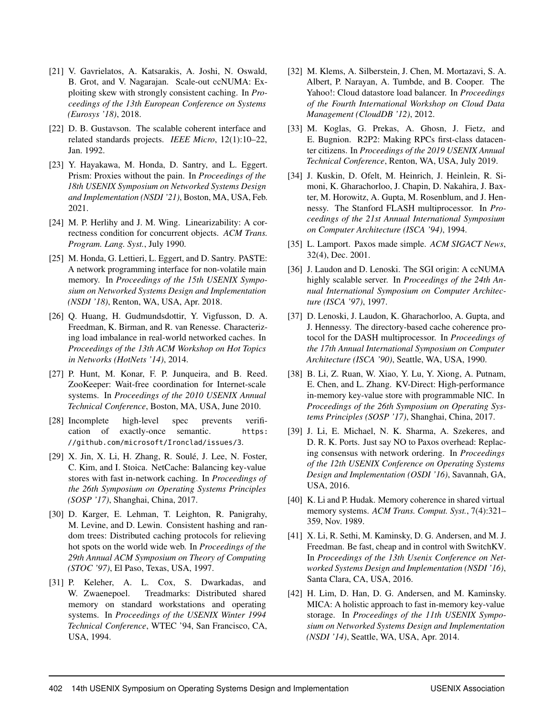- <span id="page-16-9"></span>[21] V. Gavrielatos, A. Katsarakis, A. Joshi, N. Oswald, B. Grot, and V. Nagarajan. Scale-out ccNUMA: Exploiting skew with strongly consistent caching. In *Proceedings of the 13th European Conference on Systems (Eurosys '18)*, 2018.
- <span id="page-16-1"></span>[22] D. B. Gustavson. The scalable coherent interface and related standards projects. *IEEE Micro*, 12(1):10–22, Jan. 1992.
- <span id="page-16-20"></span>[23] Y. Hayakawa, M. Honda, D. Santry, and L. Eggert. Prism: Proxies without the pain. In *Proceedings of the 18th USENIX Symposium on Networked Systems Design and Implementation (NSDI '21)*, Boston, MA, USA, Feb. 2021.
- <span id="page-16-16"></span>[24] M. P. Herlihy and J. M. Wing. Linearizability: A correctness condition for concurrent objects. *ACM Trans. Program. Lang. Syst.*, July 1990.
- <span id="page-16-12"></span>[25] M. Honda, G. Lettieri, L. Eggert, and D. Santry. PASTE: A network programming interface for non-volatile main memory. In *Proceedings of the 15th USENIX Symposium on Networked Systems Design and Implementation (NSDI '18)*, Renton, WA, USA, Apr. 2018.
- <span id="page-16-8"></span>[26] Q. Huang, H. Gudmundsdottir, Y. Vigfusson, D. A. Freedman, K. Birman, and R. van Renesse. Characterizing load imbalance in real-world networked caches. In *Proceedings of the 13th ACM Workshop on Hot Topics in Networks (HotNets '14)*, 2014.
- <span id="page-16-17"></span>[27] P. Hunt, M. Konar, F. P. Junqueira, and B. Reed. ZooKeeper: Wait-free coordination for Internet-scale systems. In *Proceedings of the 2010 USENIX Annual Technical Conference*, Boston, MA, USA, June 2010.
- <span id="page-16-18"></span>[28] Incomplete high-level spec prevents verification of exactly-once semantic. [https:](https://github.com/microsoft/Ironclad/issues/3) [//github.com/microsoft/Ironclad/issues/3](https://github.com/microsoft/Ironclad/issues/3).
- <span id="page-16-7"></span>[29] X. Jin, X. Li, H. Zhang, R. Soulé, J. Lee, N. Foster, C. Kim, and I. Stoica. NetCache: Balancing key-value stores with fast in-network caching. In *Proceedings of the 26th Symposium on Operating Systems Principles (SOSP '17)*, Shanghai, China, 2017.
- <span id="page-16-0"></span>[30] D. Karger, E. Lehman, T. Leighton, R. Panigrahy, M. Levine, and D. Lewin. Consistent hashing and random trees: Distributed caching protocols for relieving hot spots on the world wide web. In *Proceedings of the 29th Annual ACM Symposium on Theory of Computing (STOC '97)*, El Paso, Texas, USA, 1997.
- <span id="page-16-2"></span>[31] P. Keleher, A. L. Cox, S. Dwarkadas, and W. Zwaenepoel. Treadmarks: Distributed shared memory on standard workstations and operating systems. In *Proceedings of the USENIX Winter 1994 Technical Conference*, WTEC '94, San Francisco, CA, USA, 1994.
- <span id="page-16-19"></span>[32] M. Klems, A. Silberstein, J. Chen, M. Mortazavi, S. A. Albert, P. Narayan, A. Tumbde, and B. Cooper. The Yahoo!: Cloud datastore load balancer. In *Proceedings of the Fourth International Workshop on Cloud Data Management (CloudDB '12)*, 2012.
- <span id="page-16-21"></span>[33] M. Koglas, G. Prekas, A. Ghosn, J. Fietz, and E. Bugnion. R2P2: Making RPCs first-class datacenter citizens. In *Proceedings of the 2019 USENIX Annual Technical Conference*, Renton, WA, USA, July 2019.
- <span id="page-16-3"></span>[34] J. Kuskin, D. Ofelt, M. Heinrich, J. Heinlein, R. Simoni, K. Gharachorloo, J. Chapin, D. Nakahira, J. Baxter, M. Horowitz, A. Gupta, M. Rosenblum, and J. Hennessy. The Stanford FLASH multiprocessor. In *Proceedings of the 21st Annual International Symposium on Computer Architecture (ISCA '94)*, 1994.
- <span id="page-16-14"></span>[35] L. Lamport. Paxos made simple. *ACM SIGACT News*, 32(4), Dec. 2001.
- <span id="page-16-4"></span>[36] J. Laudon and D. Lenoski. The SGI origin: A ccNUMA highly scalable server. In *Proceedings of the 24th Annual International Symposium on Computer Architecture (ISCA '97)*, 1997.
- <span id="page-16-5"></span>[37] D. Lenoski, J. Laudon, K. Gharachorloo, A. Gupta, and J. Hennessy. The directory-based cache coherence protocol for the DASH multiprocessor. In *Proceedings of the 17th Annual International Symposium on Computer Architecture (ISCA '90)*, Seattle, WA, USA, 1990.
- <span id="page-16-13"></span>[38] B. Li, Z. Ruan, W. Xiao, Y. Lu, Y. Xiong, A. Putnam, E. Chen, and L. Zhang. KV-Direct: High-performance in-memory key-value store with programmable NIC. In *Proceedings of the 26th Symposium on Operating Systems Principles (SOSP '17)*, Shanghai, China, 2017.
- <span id="page-16-15"></span>[39] J. Li, E. Michael, N. K. Sharma, A. Szekeres, and D. R. K. Ports. Just say NO to Paxos overhead: Replacing consensus with network ordering. In *Proceedings of the 12th USENIX Conference on Operating Systems Design and Implementation (OSDI '16)*, Savannah, GA, USA, 2016.
- <span id="page-16-6"></span>[40] K. Li and P. Hudak. Memory coherence in shared virtual memory systems. *ACM Trans. Comput. Syst.*, 7(4):321– 359, Nov. 1989.
- <span id="page-16-10"></span>[41] X. Li, R. Sethi, M. Kaminsky, D. G. Andersen, and M. J. Freedman. Be fast, cheap and in control with SwitchKV. In *Proceedings of the 13th Usenix Conference on Networked Systems Design and Implementation (NSDI '16)*, Santa Clara, CA, USA, 2016.
- <span id="page-16-11"></span>[42] H. Lim, D. Han, D. G. Andersen, and M. Kaminsky. MICA: A holistic approach to fast in-memory key-value storage. In *Proceedings of the 11th USENIX Symposium on Networked Systems Design and Implementation (NSDI '14)*, Seattle, WA, USA, Apr. 2014.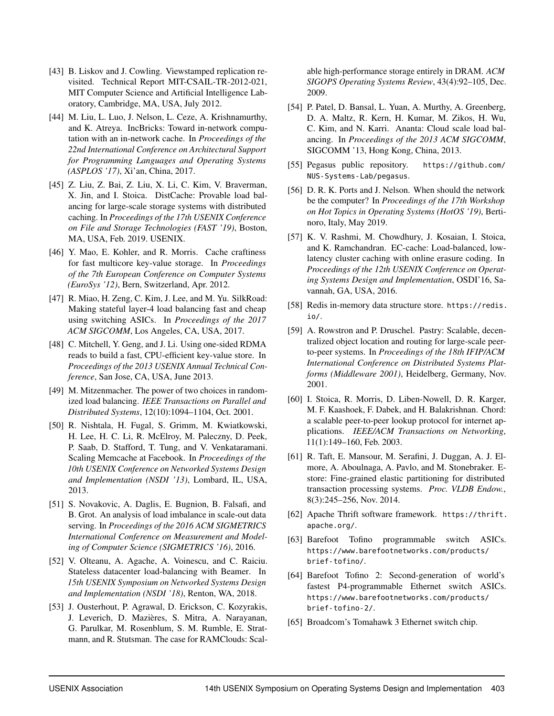- <span id="page-17-15"></span>[43] B. Liskov and J. Cowling. Viewstamped replication revisited. Technical Report MIT-CSAIL-TR-2012-021, MIT Computer Science and Artificial Intelligence Laboratory, Cambridge, MA, USA, July 2012.
- <span id="page-17-22"></span>[44] M. Liu, L. Luo, J. Nelson, L. Ceze, A. Krishnamurthy, and K. Atreya. IncBricks: Toward in-network computation with an in-network cache. In *Proceedings of the 22nd International Conference on Architectural Support for Programming Languages and Operating Systems (ASPLOS '17)*, Xi'an, China, 2017.
- <span id="page-17-2"></span>[45] Z. Liu, Z. Bai, Z. Liu, X. Li, C. Kim, V. Braverman, X. Jin, and I. Stoica. DistCache: Provable load balancing for large-scale storage systems with distributed caching. In *Proceedings of the 17th USENIX Conference on File and Storage Technologies (FAST '19)*, Boston, MA, USA, Feb. 2019. USENIX.
- <span id="page-17-7"></span>[46] Y. Mao, E. Kohler, and R. Morris. Cache craftiness for fast multicore key-value storage. In *Proceedings of the 7th European Conference on Computer Systems (EuroSys '12)*, Bern, Switzerland, Apr. 2012.
- <span id="page-17-21"></span>[47] R. Miao, H. Zeng, C. Kim, J. Lee, and M. Yu. SilkRoad: Making stateful layer-4 load balancing fast and cheap using switching ASICs. In *Proceedings of the 2017 ACM SIGCOMM*, Los Angeles, CA, USA, 2017.
- <span id="page-17-8"></span>[48] C. Mitchell, Y. Geng, and J. Li. Using one-sided RDMA reads to build a fast, CPU-efficient key-value store. In *Proceedings of the 2013 USENIX Annual Technical Conference*, San Jose, CA, USA, June 2013.
- <span id="page-17-1"></span>[49] M. Mitzenmacher. The power of two choices in randomized load balancing. *IEEE Transactions on Parallel and Distributed Systems*, 12(10):1094–1104, Oct. 2001.
- <span id="page-17-0"></span>[50] R. Nishtala, H. Fugal, S. Grimm, M. Kwiatkowski, H. Lee, H. C. Li, R. McElroy, M. Paleczny, D. Peek, P. Saab, D. Stafford, T. Tung, and V. Venkataramani. Scaling Memcache at Facebook. In *Proceedings of the 10th USENIX Conference on Networked Systems Design and Implementation (NSDI '13)*, Lombard, IL, USA, 2013.
- <span id="page-17-4"></span>[51] S. Novakovic, A. Daglis, E. Bugnion, B. Falsafi, and B. Grot. An analysis of load imbalance in scale-out data serving. In *Proceedings of the 2016 ACM SIGMETRICS International Conference on Measurement and Modeling of Computer Science (SIGMETRICS '16)*, 2016.
- <span id="page-17-20"></span>[52] V. Olteanu, A. Agache, A. Voinescu, and C. Raiciu. Stateless datacenter load-balancing with Beamer. In *15th USENIX Symposium on Networked Systems Design and Implementation (NSDI '18)*, Renton, WA, 2018.
- <span id="page-17-5"></span>[53] J. Ousterhout, P. Agrawal, D. Erickson, C. Kozyrakis, J. Leverich, D. Mazières, S. Mitra, A. Narayanan, G. Parulkar, M. Rosenblum, S. M. Rumble, E. Stratmann, and R. Stutsman. The case for RAMClouds: Scal-

able high-performance storage entirely in DRAM. *ACM SIGOPS Operating Systems Review*, 43(4):92–105, Dec. 2009.

- <span id="page-17-19"></span>[54] P. Patel, D. Bansal, L. Yuan, A. Murthy, A. Greenberg, D. A. Maltz, R. Kern, H. Kumar, M. Zikos, H. Wu, C. Kim, and N. Karri. Ananta: Cloud scale load balancing. In *Proceedings of the 2013 ACM SIGCOMM*, SIGCOMM '13, Hong Kong, China, 2013.
- <span id="page-17-14"></span>[55] Pegasus public repository. [https://github.com/](https://github.com/NUS-Systems-Lab/pegasus) [NUS-Systems-Lab/pegasus](https://github.com/NUS-Systems-Lab/pegasus).
- <span id="page-17-3"></span>[56] D. R. K. Ports and J. Nelson. When should the network be the computer? In *Proceedings of the 17th Workshop on Hot Topics in Operating Systems (HotOS '19)*, Bertinoro, Italy, May 2019.
- <span id="page-17-9"></span>[57] K. V. Rashmi, M. Chowdhury, J. Kosaian, I. Stoica, and K. Ramchandran. EC-cache: Load-balanced, lowlatency cluster caching with online erasure coding. In *Proceedings of the 12th USENIX Conference on Operating Systems Design and Implementation*, OSDI'16, Savannah, GA, USA, 2016.
- <span id="page-17-6"></span>[58] Redis in-memory data structure store. [https://redis.](https://redis.io/) [io/](https://redis.io/).
- <span id="page-17-10"></span>[59] A. Rowstron and P. Druschel. Pastry: Scalable, decentralized object location and routing for large-scale peerto-peer systems. In *Proceedings of the 18th IFIP/ACM International Conference on Distributed Systems Platforms (Middleware 2001)*, Heidelberg, Germany, Nov. 2001.
- <span id="page-17-11"></span>[60] I. Stoica, R. Morris, D. Liben-Nowell, D. R. Karger, M. F. Kaashoek, F. Dabek, and H. Balakrishnan. Chord: a scalable peer-to-peer lookup protocol for internet applications. *IEEE/ACM Transactions on Networking*, 11(1):149–160, Feb. 2003.
- <span id="page-17-18"></span>[61] R. Taft, E. Mansour, M. Serafini, J. Duggan, A. J. Elmore, A. Aboulnaga, A. Pavlo, and M. Stonebraker. Estore: Fine-grained elastic partitioning for distributed transaction processing systems. *Proc. VLDB Endow.*, 8(3):245–256, Nov. 2014.
- <span id="page-17-17"></span>[62] Apache Thrift software framework. [https://thrift.](https://thrift.apache.org/) [apache.org/](https://thrift.apache.org/).
- <span id="page-17-16"></span>[63] Barefoot Tofino programmable switch ASICs. [https://www.barefootnetworks.com/products/](https://www.barefootnetworks.com/products/brief-tofino/) [brief-tofino/](https://www.barefootnetworks.com/products/brief-tofino/).
- <span id="page-17-12"></span>[64] Barefoot Tofino 2: Second-generation of world's fastest P4-programmable Ethernet switch ASICs. [https://www.barefootnetworks.com/products/](https://www.barefootnetworks.com/products/brief-tofino-2/) [brief-tofino-2/](https://www.barefootnetworks.com/products/brief-tofino-2/).
- <span id="page-17-13"></span>[65] Broadcom's Tomahawk 3 Ethernet switch chip.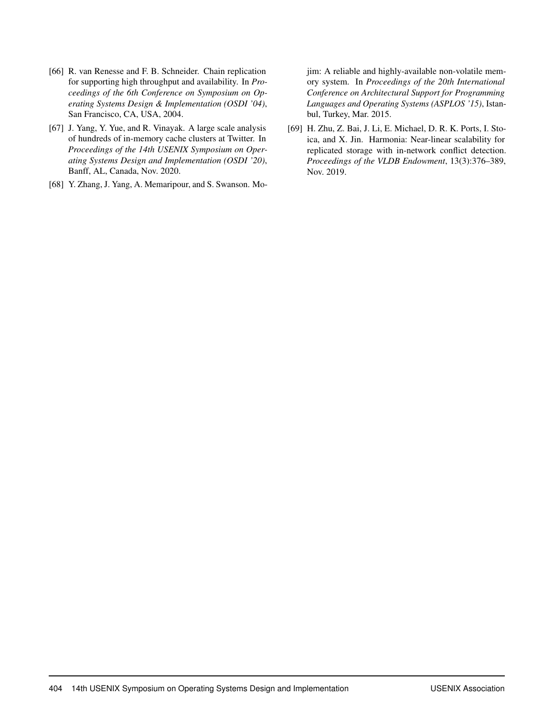- <span id="page-18-1"></span>[66] R. van Renesse and F. B. Schneider. Chain replication for supporting high throughput and availability. In *Proceedings of the 6th Conference on Symposium on Operating Systems Design & Implementation (OSDI '04)*, San Francisco, CA, USA, 2004.
- <span id="page-18-0"></span>[67] J. Yang, Y. Yue, and R. Vinayak. A large scale analysis of hundreds of in-memory cache clusters at Twitter. In *Proceedings of the 14th USENIX Symposium on Operating Systems Design and Implementation (OSDI '20)*, Banff, AL, Canada, Nov. 2020.
- <span id="page-18-2"></span>[68] Y. Zhang, J. Yang, A. Memaripour, and S. Swanson. Mo-

jim: A reliable and highly-available non-volatile memory system. In *Proceedings of the 20th International Conference on Architectural Support for Programming Languages and Operating Systems (ASPLOS '15)*, Istanbul, Turkey, Mar. 2015.

<span id="page-18-3"></span>[69] H. Zhu, Z. Bai, J. Li, E. Michael, D. R. K. Ports, I. Stoica, and X. Jin. Harmonia: Near-linear scalability for replicated storage with in-network conflict detection. *Proceedings of the VLDB Endowment*, 13(3):376–389, Nov. 2019.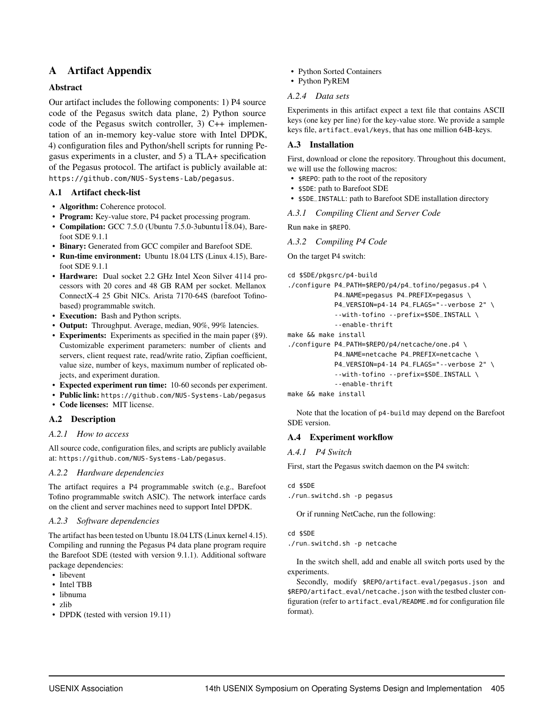## A Artifact Appendix

## Abstract

Our artifact includes the following components: 1) P4 source code of the Pegasus switch data plane, 2) Python source code of the Pegasus switch controller, 3) C++ implementation of an in-memory key-value store with Intel DPDK, 4) configuration files and Python/shell scripts for running Pegasus experiments in a cluster, and 5) a TLA+ specification of the Pegasus protocol. The artifact is publicly available at: <https://github.com/NUS-Systems-Lab/pegasus>.

## A.1 Artifact check-list

- Algorithm: Coherence protocol.
- Program: Key-value store, P4 packet processing program.
- Compilation: GCC 7.5.0 (Ubuntu 7.5.0-3ubuntu $118.04$ ), Barefoot SDE 9.1.1
- Binary: Generated from GCC compiler and Barefoot SDE.
- Run-time environment: Ubuntu 18.04 LTS (Linux 4.15), Barefoot SDE 9.1.1
- Hardware: Dual socket 2.2 GHz Intel Xeon Silver 4114 processors with 20 cores and 48 GB RAM per socket. Mellanox ConnectX-4 25 Gbit NICs. Arista 7170-64S (barefoot Tofinobased) programmable switch.
- Execution: Bash and Python scripts.
- Output: Throughput. Average, median, 90%, 99% latencies.
- Experiments: Experiments as specified in the main paper [\(§9\)](#page-10-2). Customizable experiment parameters: number of clients and servers, client request rate, read/write ratio, Zipfian coefficient, value size, number of keys, maximum number of replicated objects, and experiment duration.
- Expected experiment run time: 10-60 seconds per experiment.
- Public link: <https://github.com/NUS-Systems-Lab/pegasus>
- Code licenses: MIT license.

## A.2 Description

## *A.2.1 How to access*

All source code, configuration files, and scripts are publicly available at: <https://github.com/NUS-Systems-Lab/pegasus>.

## *A.2.2 Hardware dependencies*

The artifact requires a P4 programmable switch (e.g., Barefoot Tofino programmable switch ASIC). The network interface cards on the client and server machines need to support Intel DPDK.

## *A.2.3 Software dependencies*

The artifact has been tested on Ubuntu 18.04 LTS (Linux kernel 4.15). Compiling and running the Pegasus P4 data plane program require the Barefoot SDE (tested with version 9.1.1). Additional software package dependencies:

- libevent
- Intel TBB
- libnuma
- zlib
- DPDK (tested with version 19.11)
- Python Sorted Containers
- Python PyREM

## *A.2.4 Data sets*

Experiments in this artifact expect a text file that contains ASCII keys (one key per line) for the key-value store. We provide a sample keys file, artifact\_eval/keys, that has one million 64B-keys.

## A.3 Installation

First, download or clone the repository. Throughout this document, we will use the following macros:

- \$REPO: path to the root of the repository
- \$SDE: path to Barefoot SDE
- \$SDE\_INSTALL: path to Barefoot SDE installation directory
- *A.3.1 Compiling Client and Server Code*

Run make in \$REPO.

```
A.3.2 Compiling P4 Code
```
On the target P4 switch:

```
cd $SDE/pkgsrc/p4-build
```

```
./configure P4_PATH=$REPO/p4/p4_tofino/pegasus.p4 \
           P4_NAME=pegasus P4_PREFIX=pegasus \
           P4_VERSION=p4-14 P4_FLAGS="--verbose 2" \
           --with-tofino --prefix=$SDE_INSTALL \
            --enable-thrift
```

```
make && make install
```

```
./configure P4_PATH=$REPO/p4/netcache/one.p4 \
```

```
P4_NAME=netcache P4_PREFIX=netcache \
P4_VERSION=p4-14 P4_FLAGS="--verbose 2" \
--with-tofino --prefix=$SDE_INSTALL \
--enable-thrift
```

```
make && make install
```
Note that the location of p4-build may depend on the Barefoot SDE version.

## A.4 Experiment workflow

## *A.4.1 P4 Switch*

First, start the Pegasus switch daemon on the P4 switch:

```
cd $SDE
./run_switchd.sh -p pegasus
```
Or if running NetCache, run the following:

```
cd $SDE
```
./run\_switchd.sh -p netcache

In the switch shell, add and enable all switch ports used by the experiments.

Secondly, modify \$REPO/artifact\_eval/pegasus.json and \$REPO/artifact\_eval/netcache.json with the testbed cluster configuration (refer to artifact\_eval/README.md for configuration file format).